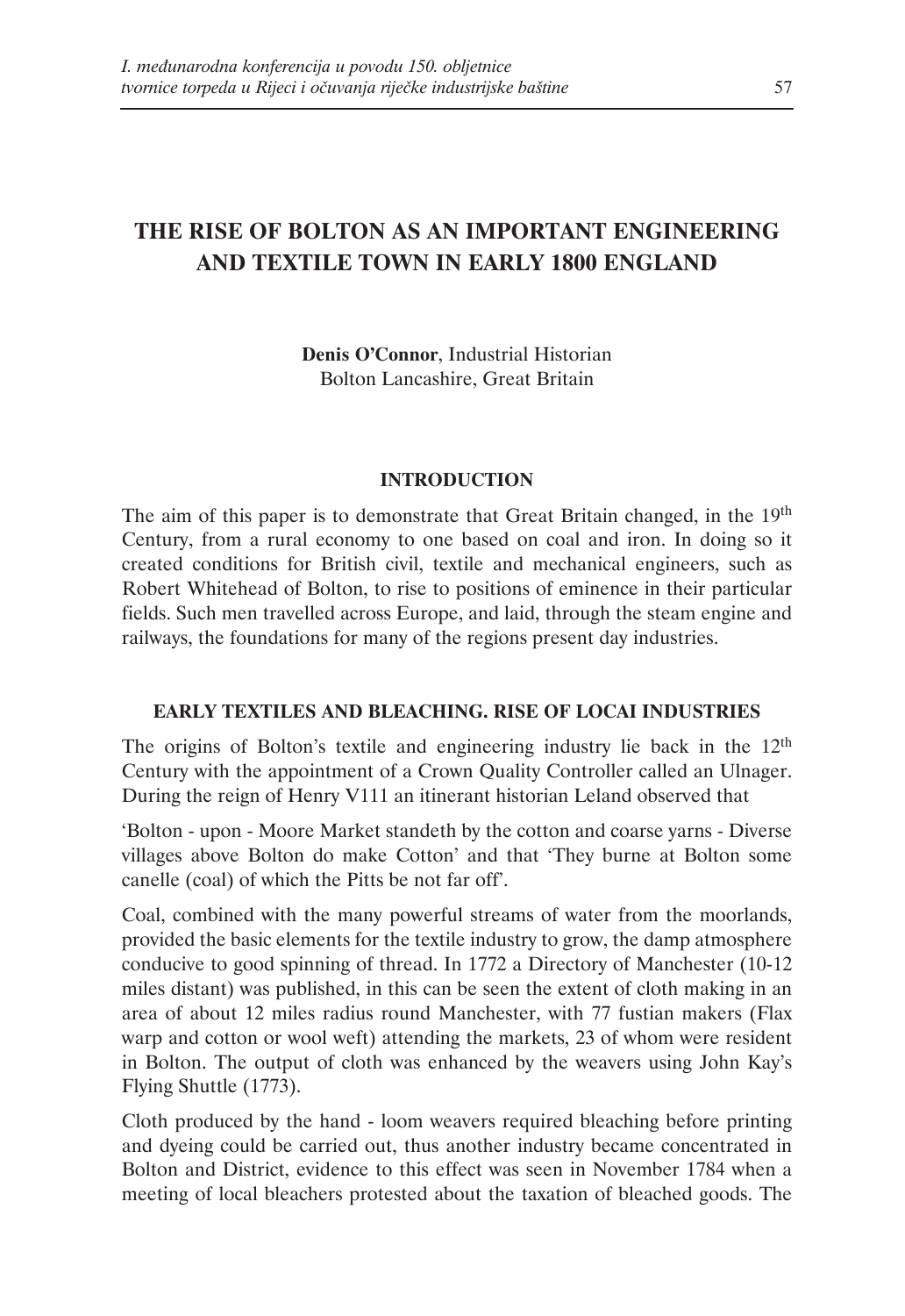# **THE RISE OF BOLTON AS AN IMPORTANT ENGINEERING AND TEXTILE TOWN IN EARLY 1800 ENGLAND**

**Denis O'Connor**, Industrial Historian Bolton Lancashire, Great Britain

### **INTRODUCTION**

The aim of this paper is to demonstrate that Great Britain changed, in the 19<sup>th</sup> Century, from a rural economy to one based on coal and iron. In doing so it created conditions for British civil, textile and mechanical engineers, such as Robert Whitehead of Bolton, to rise to positions of eminence in their particular fields. Such men travelled across Europe, and laid, through the steam engine and railways, the foundations for many of the regions present day industries.

# **EARLY TEXTILES AND BLEACHING. RISE OF LOCAI INDUSTRIES**

The origins of Bolton's textile and engineering industry lie back in the 12<sup>th</sup> Century with the appointment of a Crown Quality Controller called an Ulnager. During the reign of Henry V111 an itinerant historian Leland observed that

'Bolton - upon - Moore Market standeth by the cotton and coarse yarns - Diverse villages above Bolton do make Cotton' and that 'They burne at Bolton some canelle (coal) of which the Pitts be not far off'.

Coal, combined with the many powerful streams of water from the moorlands, provided the basic elements for the textile industry to grow, the damp atmosphere conducive to good spinning of thread. In 1772 a Directory of Manchester (10-12 miles distant) was published, in this can be seen the extent of cloth making in an area of about 12 miles radius round Manchester, with 77 fustian makers (Flax warp and cotton or wool weft) attending the markets, 23 of whom were resident in Bolton. The output of cloth was enhanced by the weavers using John Kay's Flying Shuttle (1773).

Cloth produced by the hand - loom weavers required bleaching before printing and dyeing could be carried out, thus another industry became concentrated in Bolton and District, evidence to this effect was seen in November 1784 when a meeting of local bleachers protested about the taxation of bleached goods. The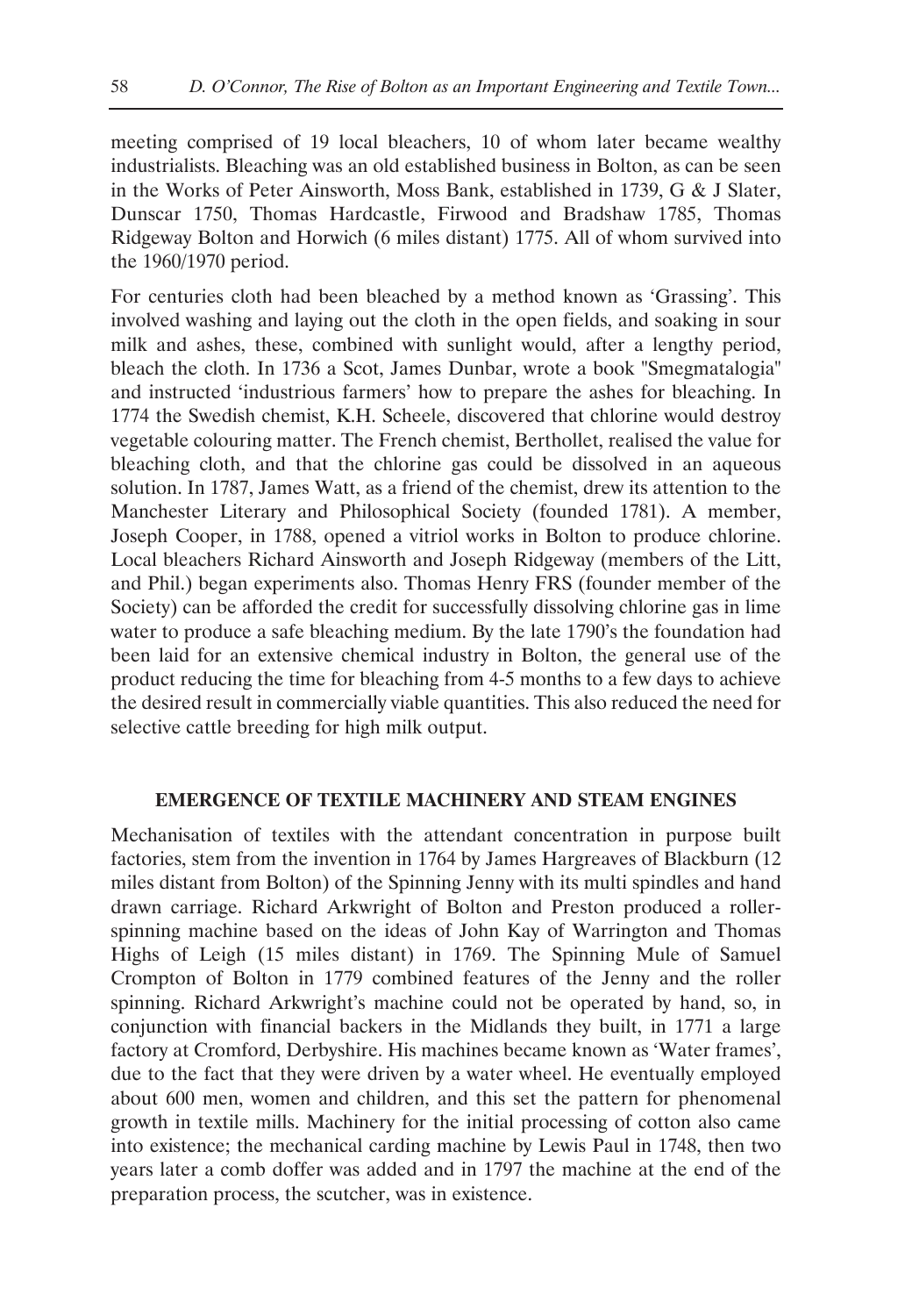meeting comprised of 19 local bleachers, 10 of whom later became wealthy industrialists. Bleaching was an old established business in Bolton, as can be seen in the Works of Peter Ainsworth, Moss Bank, established in 1739, G & J Slater, Dunscar 1750, Thomas Hardcastle, Firwood and Bradshaw 1785, Thomas Ridgeway Bolton and Horwich (6 miles distant) 1775. All of whom survived into the 1960/1970 period.

For centuries cloth had been bleached by a method known as 'Grassing'. This involved washing and laying out the cloth in the open fields, and soaking in sour milk and ashes, these, combined with sunlight would, after a lengthy period, bleach the cloth. In 1736 a Scot, James Dunbar, wrote a book "Smegmatalogia" and instructed 'industrious farmers' how to prepare the ashes for bleaching. In 1774 the Swedish chemist, K.H. Scheele, discovered that chlorine would destroy vegetable colouring matter. The French chemist, Berthollet, realised the value for bleaching cloth, and that the chlorine gas could be dissolved in an aqueous solution. In 1787, James Watt, as a friend of the chemist, drew its attention to the Manchester Literary and Philosophical Society (founded 1781). A member, Joseph Cooper, in 1788, opened a vitriol works in Bolton to produce chlorine. Local bleachers Richard Ainsworth and Joseph Ridgeway (members of the Litt, and Phil.) began experiments also. Thomas Henry FRS (founder member of the Society) can be afforded the credit for successfully dissolving chlorine gas in lime water to produce a safe bleaching medium. By the late 1790's the foundation had been laid for an extensive chemical industry in Bolton, the general use of the product reducing the time for bleaching from 4-5 months to a few days to achieve the desired result in commercially viable quantities. This also reduced the need for selective cattle breeding for high milk output.

### **EMERGENCE OF TEXTILE MACHINERY AND STEAM ENGINES**

Mechanisation of textiles with the attendant concentration in purpose built factories, stem from the invention in 1764 by James Hargreaves of Blackburn (12 miles distant from Bolton) of the Spinning Jenny with its multi spindles and hand drawn carriage. Richard Arkwright of Bolton and Preston produced a rollerspinning machine based on the ideas of John Kay of Warrington and Thomas Highs of Leigh (15 miles distant) in 1769. The Spinning Mule of Samuel Crompton of Bolton in 1779 combined features of the Jenny and the roller spinning. Richard Arkwright's machine could not be operated by hand, so, in conjunction with financial backers in the Midlands they built, in 1771 a large factory at Cromford, Derbyshire. His machines became known as 'Water frames', due to the fact that they were driven by a water wheel. He eventually employed about 600 men, women and children, and this set the pattern for phenomenal growth in textile mills. Machinery for the initial processing of cotton also came into existence; the mechanical carding machine by Lewis Paul in 1748, then two years later a comb doffer was added and in 1797 the machine at the end of the preparation process, the scutcher, was in existence.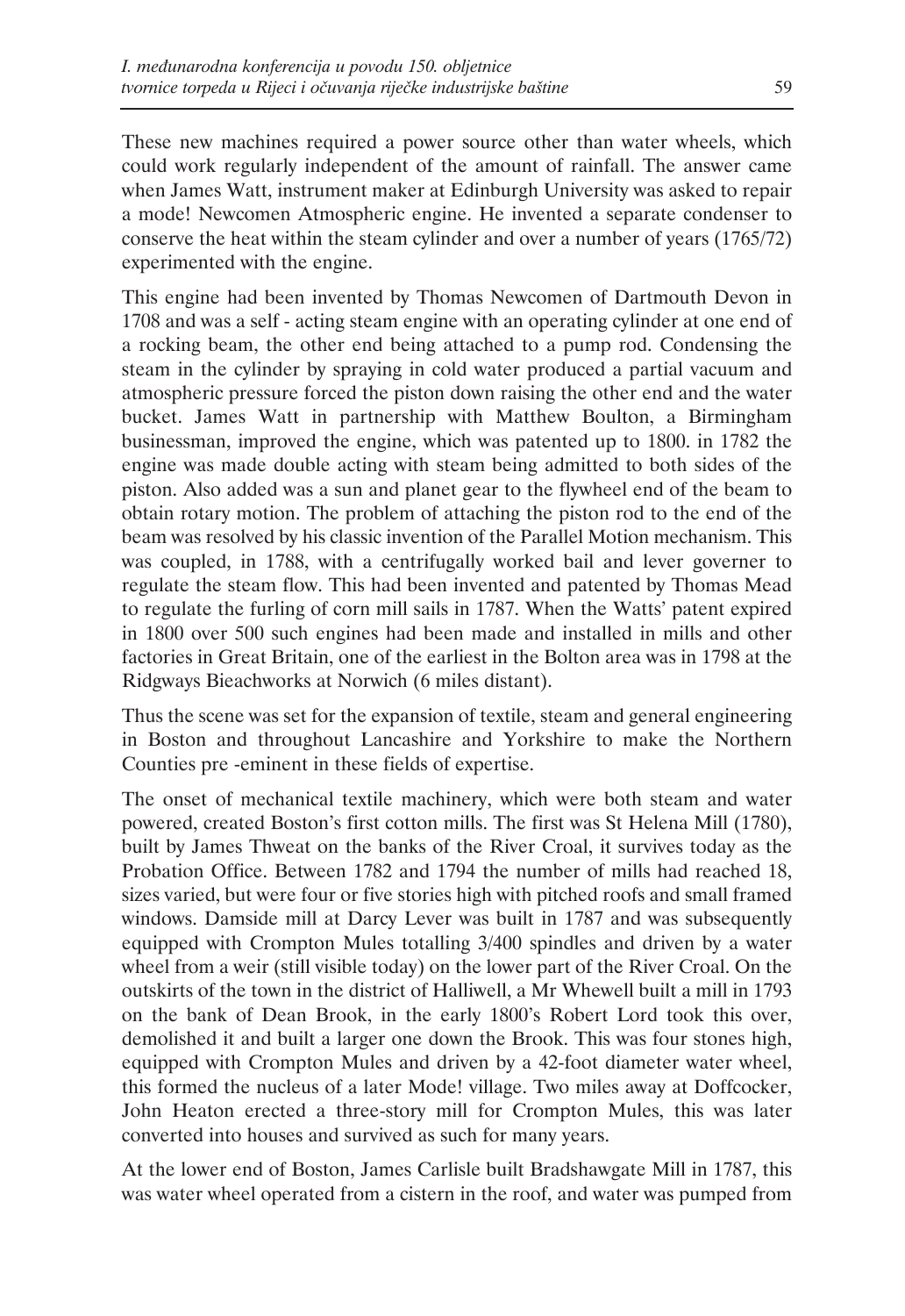These new machines required a power source other than water wheels, which could work regularly independent of the amount of rainfall. The answer came when James Watt, instrument maker at Edinburgh University was asked to repair a mode! Newcomen Atmospheric engine. He invented a separate condenser to conserve the heat within the steam cylinder and over a number of years (1765/72) experimented with the engine.

This engine had been invented by Thomas Newcomen of Dartmouth Devon in 1708 and was a self - acting steam engine with an operating cylinder at one end of a rocking beam, the other end being attached to a pump rod. Condensing the steam in the cylinder by spraying in cold water produced a partial vacuum and atmospheric pressure forced the piston down raising the other end and the water bucket. James Watt in partnership with Matthew Boulton, a Birmingham businessman, improved the engine, which was patented up to 1800. in 1782 the engine was made double acting with steam being admitted to both sides of the piston. Also added was a sun and planet gear to the flywheel end of the beam to obtain rotary motion. The problem of attaching the piston rod to the end of the beam was resolved by his classic invention of the Parallel Motion mechanism. This was coupled, in 1788, with a centrifugally worked bail and lever governer to regulate the steam flow. This had been invented and patented by Thomas Mead to regulate the furling of corn mill sails in 1787. When the Watts' patent expired in 1800 over 500 such engines had been made and installed in mills and other factories in Great Britain, one of the earliest in the Bolton area was in 1798 at the Ridgways Bieachworks at Norwich (6 miles distant).

Thus the scene was set for the expansion of textile, steam and general engineering in Boston and throughout Lancashire and Yorkshire to make the Northern Counties pre -eminent in these fields of expertise.

The onset of mechanical textile machinery, which were both steam and water powered, created Boston's first cotton mills. The first was St Helena Mill (1780), built by James Thweat on the banks of the River Croal, it survives today as the Probation Office. Between 1782 and 1794 the number of mills had reached 18, sizes varied, but were four or five stories high with pitched roofs and small framed windows. Damside mill at Darcy Lever was built in 1787 and was subsequently equipped with Crompton Mules totalling 3/400 spindles and driven by a water wheel from a weir (still visible today) on the lower part of the River Croal. On the outskirts of the town in the district of Halliwell, a Mr Whewell built a mill in 1793 on the bank of Dean Brook, in the early 1800's Robert Lord took this over, demolished it and built a larger one down the Brook. This was four stones high, equipped with Crompton Mules and driven by a 42-foot diameter water wheel, this formed the nucleus of a later Mode! village. Two miles away at Doffcocker, John Heaton erected a three-story mill for Crompton Mules, this was later converted into houses and survived as such for many years.

At the lower end of Boston, James Carlisle built Bradshawgate Mill in 1787, this was water wheel operated from a cistern in the roof, and water was pumped from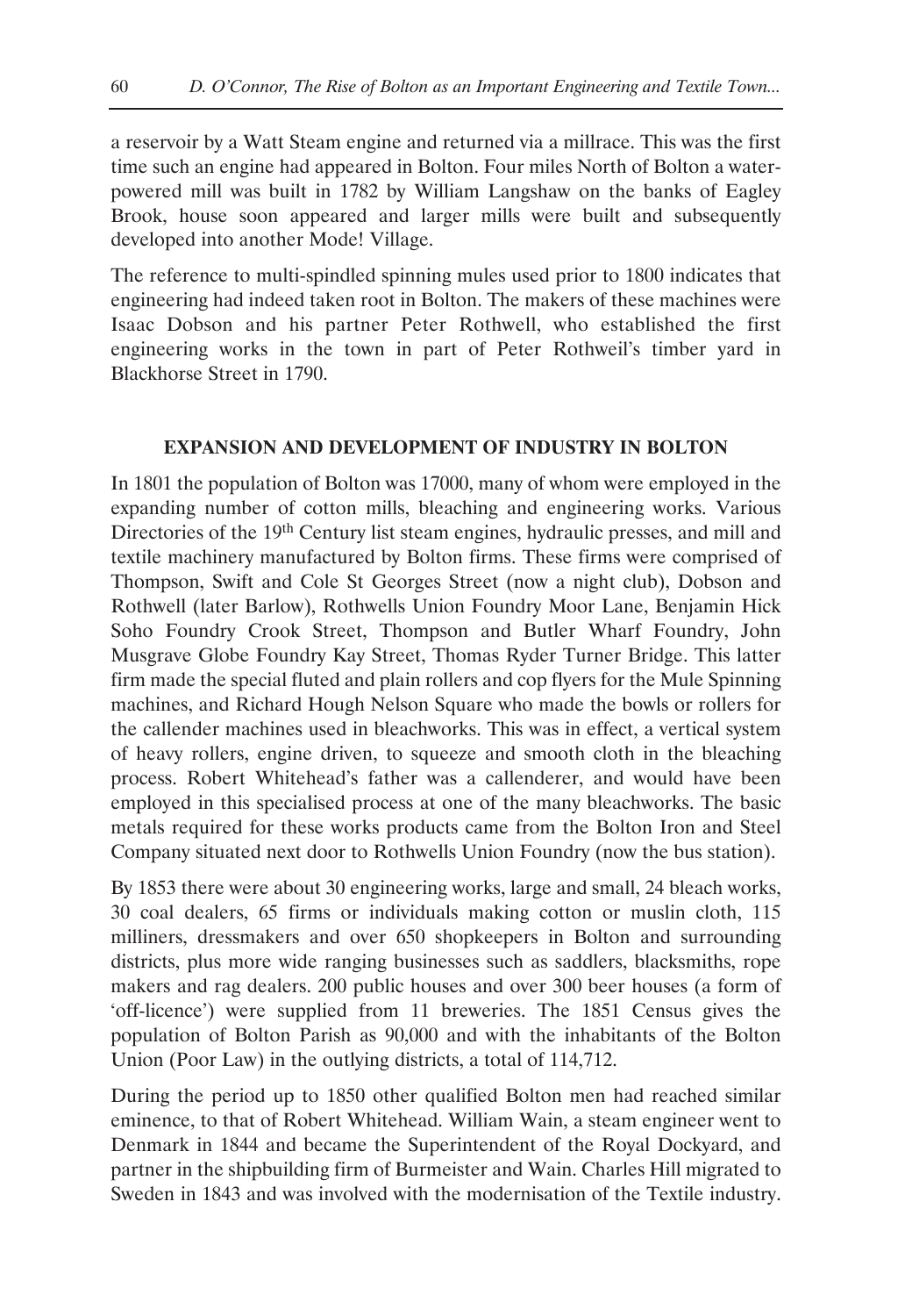a reservoir by a Watt Steam engine and returned via a millrace. This was the first time such an engine had appeared in Bolton. Four miles North of Bolton a waterpowered mill was built in 1782 by William Langshaw on the banks of Eagley Brook, house soon appeared and larger mills were built and subsequently developed into another Mode! Village.

The reference to multi-spindled spinning mules used prior to 1800 indicates that engineering had indeed taken root in Bolton. The makers of these machines were Isaac Dobson and his partner Peter Rothwell, who established the first engineering works in the town in part of Peter Rothweil's timber yard in Blackhorse Street in 1790.

# **EXPANSION AND DEVELOPMENT OF INDUSTRY IN BOLTON**

In 1801 the population of Bolton was 17000, many of whom were employed in the expanding number of cotton mills, bleaching and engineering works. Various Directories of the 19<sup>th</sup> Century list steam engines, hydraulic presses, and mill and textile machinery manufactured by Bolton firms. These firms were comprised of Thompson, Swift and Cole St Georges Street (now a night club), Dobson and Rothwell (later Barlow), Rothwells Union Foundry Moor Lane, Benjamin Hick Soho Foundry Crook Street, Thompson and Butler Wharf Foundry, John Musgrave Globe Foundry Kay Street, Thomas Ryder Turner Bridge. This latter firm made the special fluted and plain rollers and cop flyers for the Mule Spinning machines, and Richard Hough Nelson Square who made the bowls or rollers for the callender machines used in bleachworks. This was in effect, a vertical system of heavy rollers, engine driven, to squeeze and smooth cloth in the bleaching process. Robert Whitehead's father was a callenderer, and would have been employed in this specialised process at one of the many bleachworks. The basic metals required for these works products came from the Bolton Iron and Steel Company situated next door to Rothwells Union Foundry (now the bus station).

By 1853 there were about 30 engineering works, large and small, 24 bleach works, 30 coal dealers, 65 firms or individuals making cotton or muslin cloth, 115 milliners, dressmakers and over 650 shopkeepers in Bolton and surrounding districts, plus more wide ranging businesses such as saddlers, blacksmiths, rope makers and rag dealers. 200 public houses and over 300 beer houses (a form of 'off-licence') were supplied from 11 breweries. The 1851 Census gives the population of Bolton Parish as 90,000 and with the inhabitants of the Bolton Union (Poor Law) in the outlying districts, a total of 114,712.

During the period up to 1850 other qualified Bolton men had reached similar eminence, to that of Robert Whitehead. William Wain, a steam engineer went to Denmark in 1844 and became the Superintendent of the Royal Dockyard, and partner in the shipbuilding firm of Burmeister and Wain. Charles Hill migrated to Sweden in 1843 and was involved with the modernisation of the Textile industry.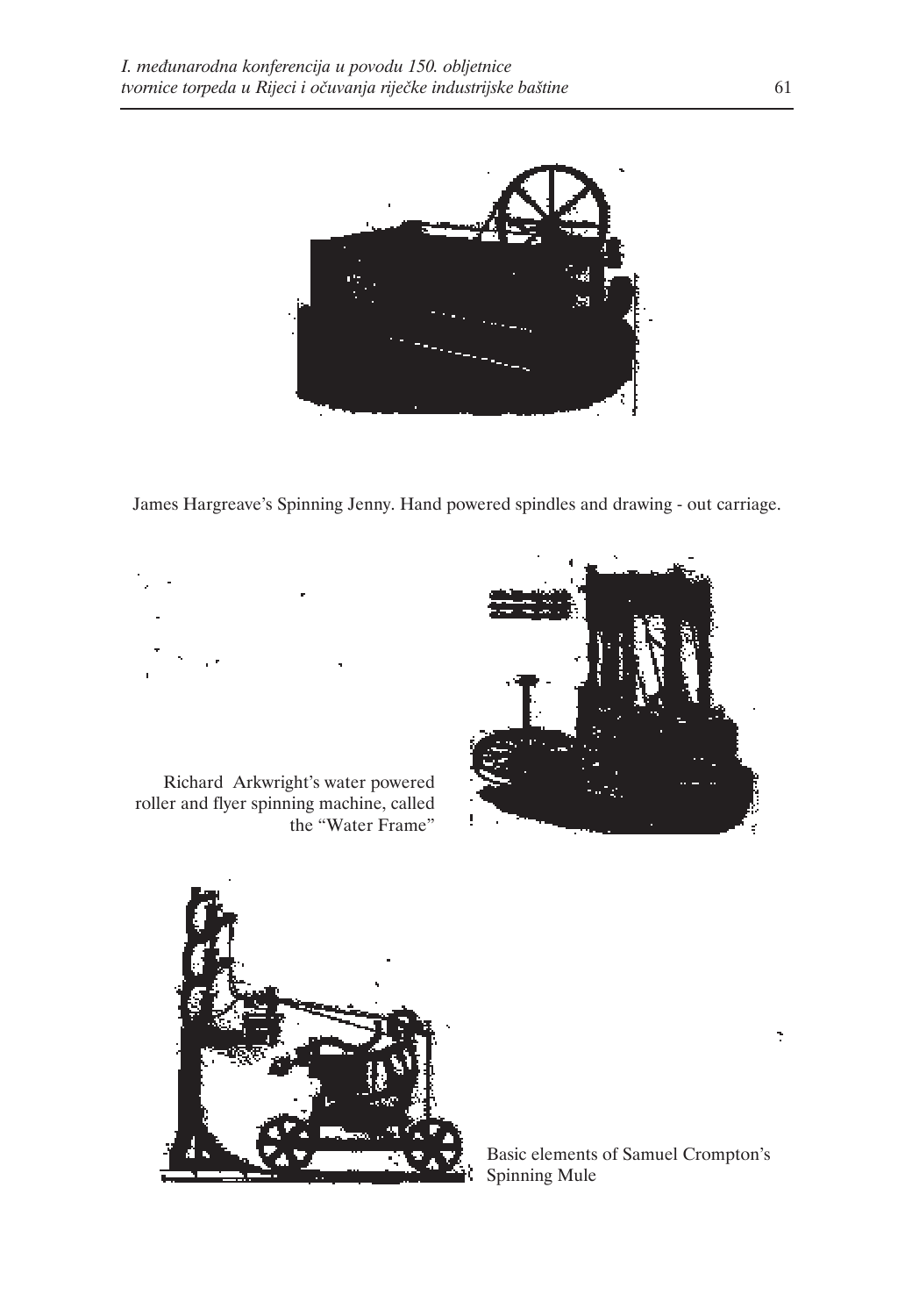

James Hargreave's Spinning Jenny. Hand powered spindles and drawing - out carriage.



Richard Arkwright's water powered roller and flyer spinning machine, called the "Water Frame"





Basic elements of Samuel Crompton's Spinning Mule

÷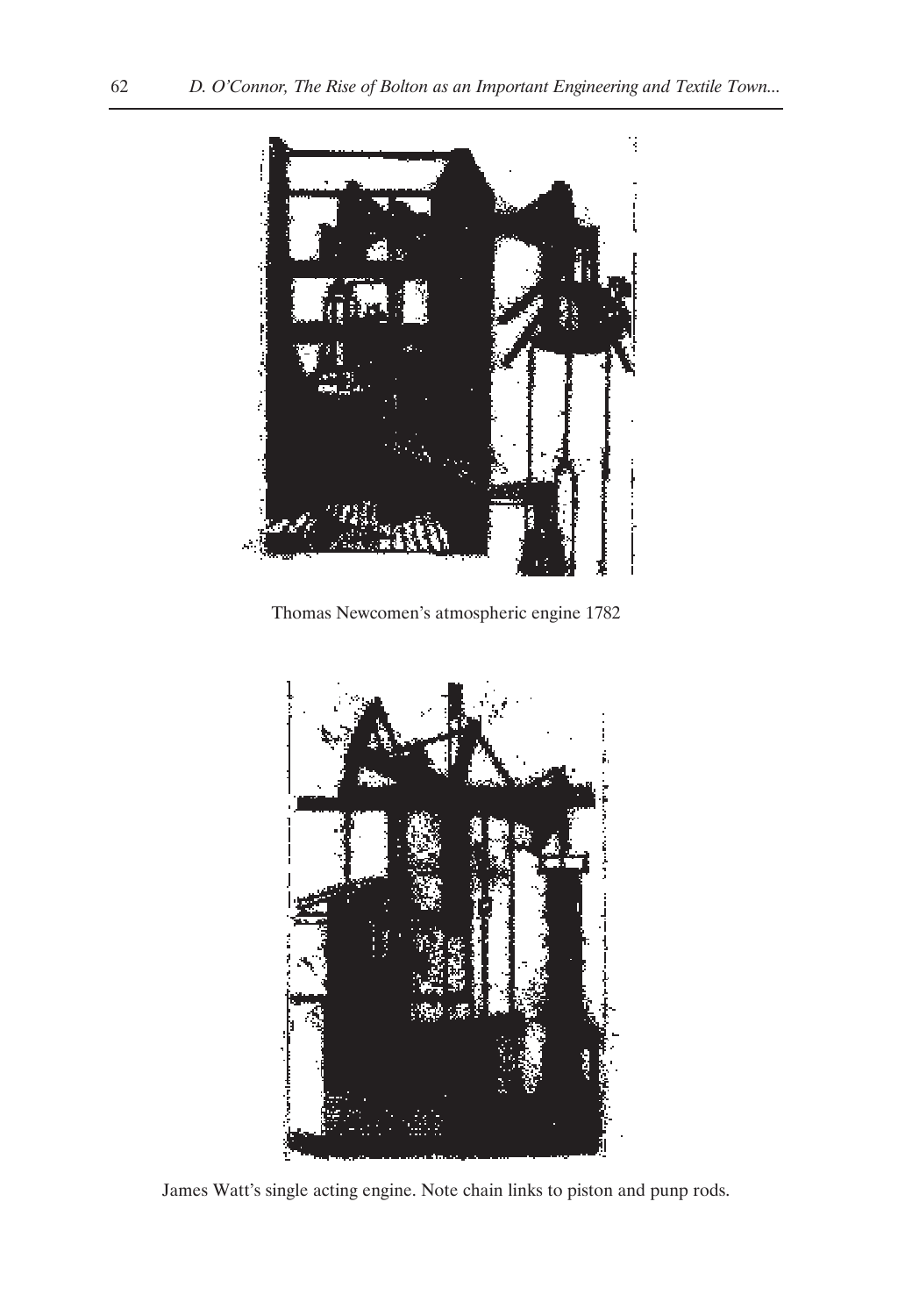

Thomas Newcomen's atmospheric engine 1782



James Watt's single acting engine. Note chain links to piston and punp rods.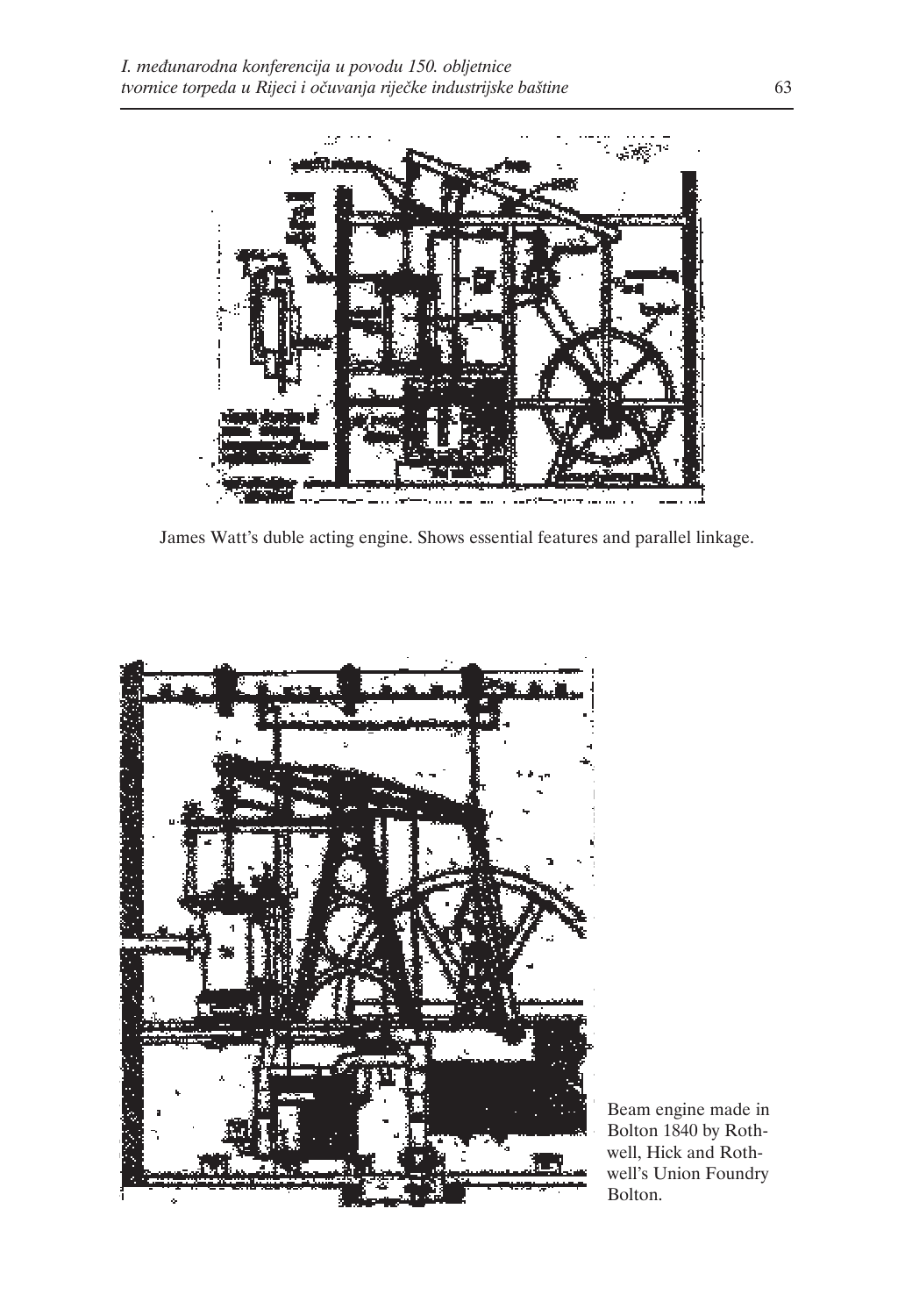

James Watt's duble acting engine. Shows essential features and parallel linkage.



Beam engine made in Bolton 1840 by Rothwell, Hick and Rothwell's Union Foundry Bolton.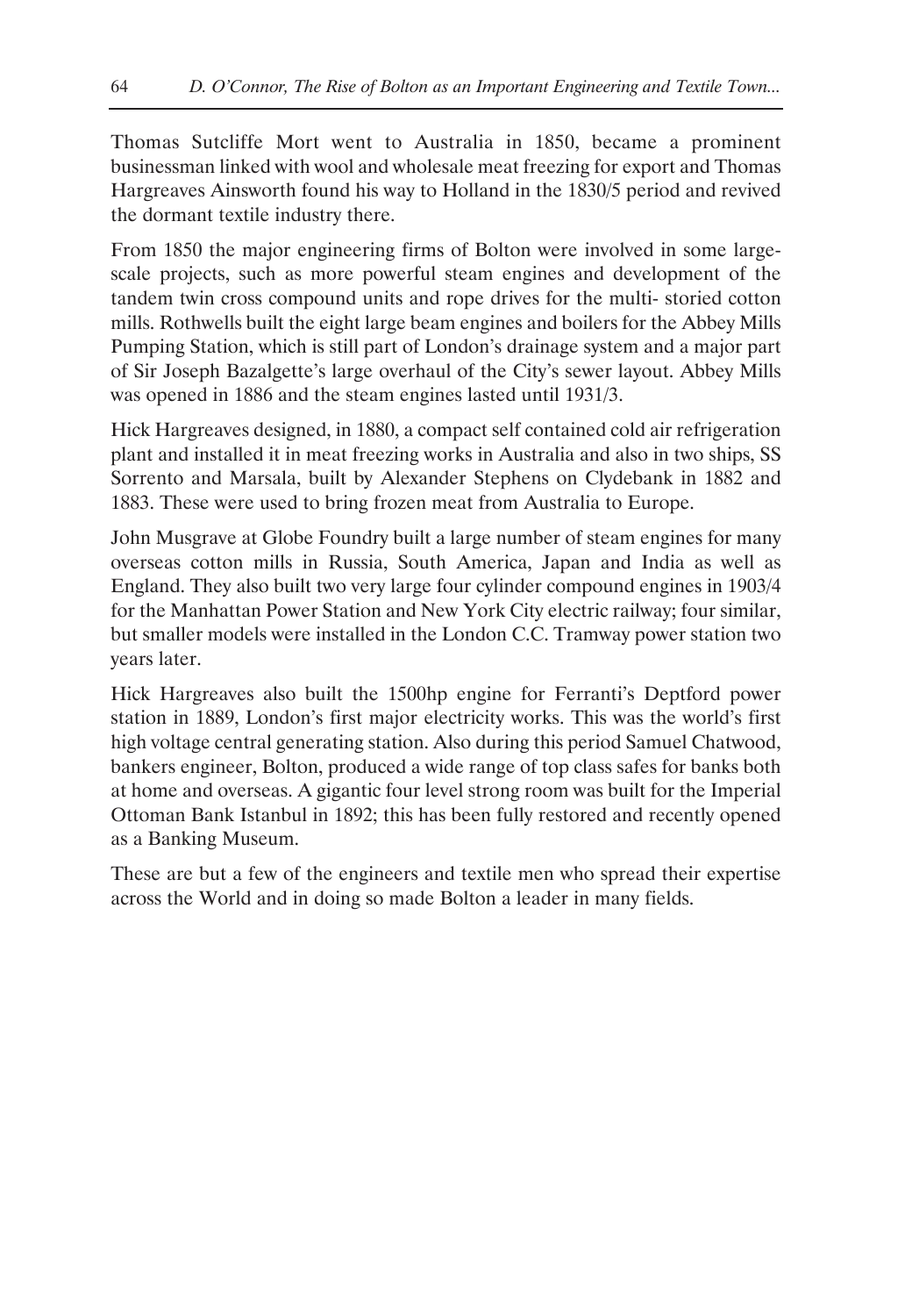Thomas Sutcliffe Mort went to Australia in 1850, became a prominent businessman linked with wool and wholesale meat freezing for export and Thomas Hargreaves Ainsworth found his way to Holland in the 1830/5 period and revived the dormant textile industry there.

From 1850 the major engineering firms of Bolton were involved in some largescale projects, such as more powerful steam engines and development of the tandem twin cross compound units and rope drives for the multi- storied cotton mills. Rothwells built the eight large beam engines and boilers for the Abbey Mills Pumping Station, which is still part of London's drainage system and a major part of Sir Joseph Bazalgette's large overhaul of the City's sewer layout. Abbey Mills was opened in 1886 and the steam engines lasted until 1931/3.

Hick Hargreaves designed, in 1880, a compact self contained cold air refrigeration plant and installed it in meat freezing works in Australia and also in two ships, SS Sorrento and Marsala, built by Alexander Stephens on Clydebank in 1882 and 1883. These were used to bring frozen meat from Australia to Europe.

John Musgrave at Globe Foundry built a large number of steam engines for many overseas cotton mills in Russia, South America, Japan and India as well as England. They also built two very large four cylinder compound engines in 1903/4 for the Manhattan Power Station and New York City electric railway; four similar, but smaller models were installed in the London C.C. Tramway power station two years later.

Hick Hargreaves also built the 1500hp engine for Ferranti's Deptford power station in 1889, London's first major electricity works. This was the world's first high voltage central generating station. Also during this period Samuel Chatwood, bankers engineer, Bolton, produced a wide range of top class safes for banks both at home and overseas. A gigantic four level strong room was built for the Imperial Ottoman Bank Istanbul in 1892; this has been fully restored and recently opened as a Banking Museum.

These are but a few of the engineers and textile men who spread their expertise across the World and in doing so made Bolton a leader in many fields.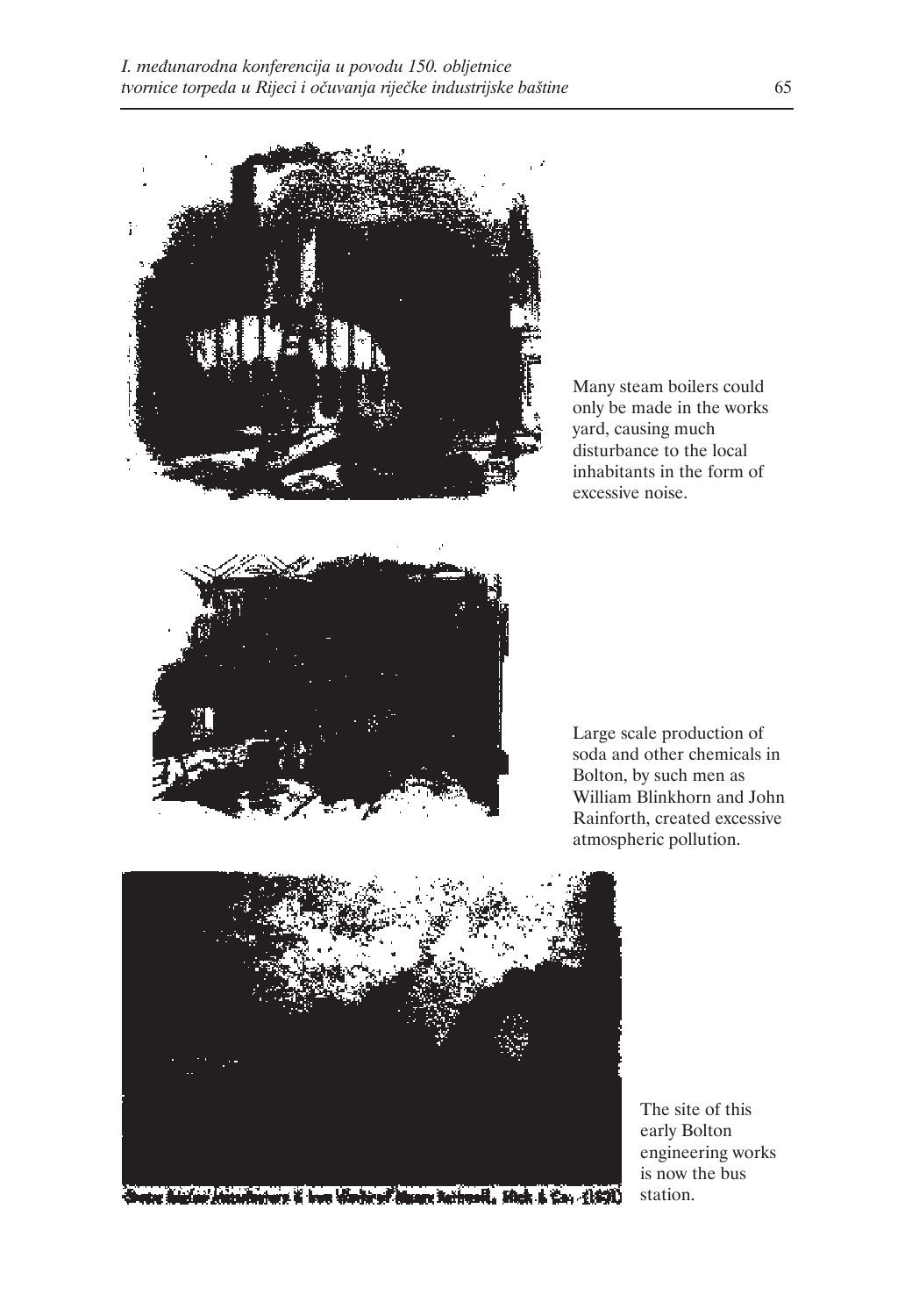

Many steam boilers could only be made in the works yard, causing much disturbance to the local inhabitants in the form of excessive noise.



Large scale production of soda and other chemicals in Bolton, by such men as William Blinkhorn and John Rainforth, created excessive atmospheric pollution.



The site of this early Bolton engineering works is now the bus station.

The strong is low that is discovered in the first car (180).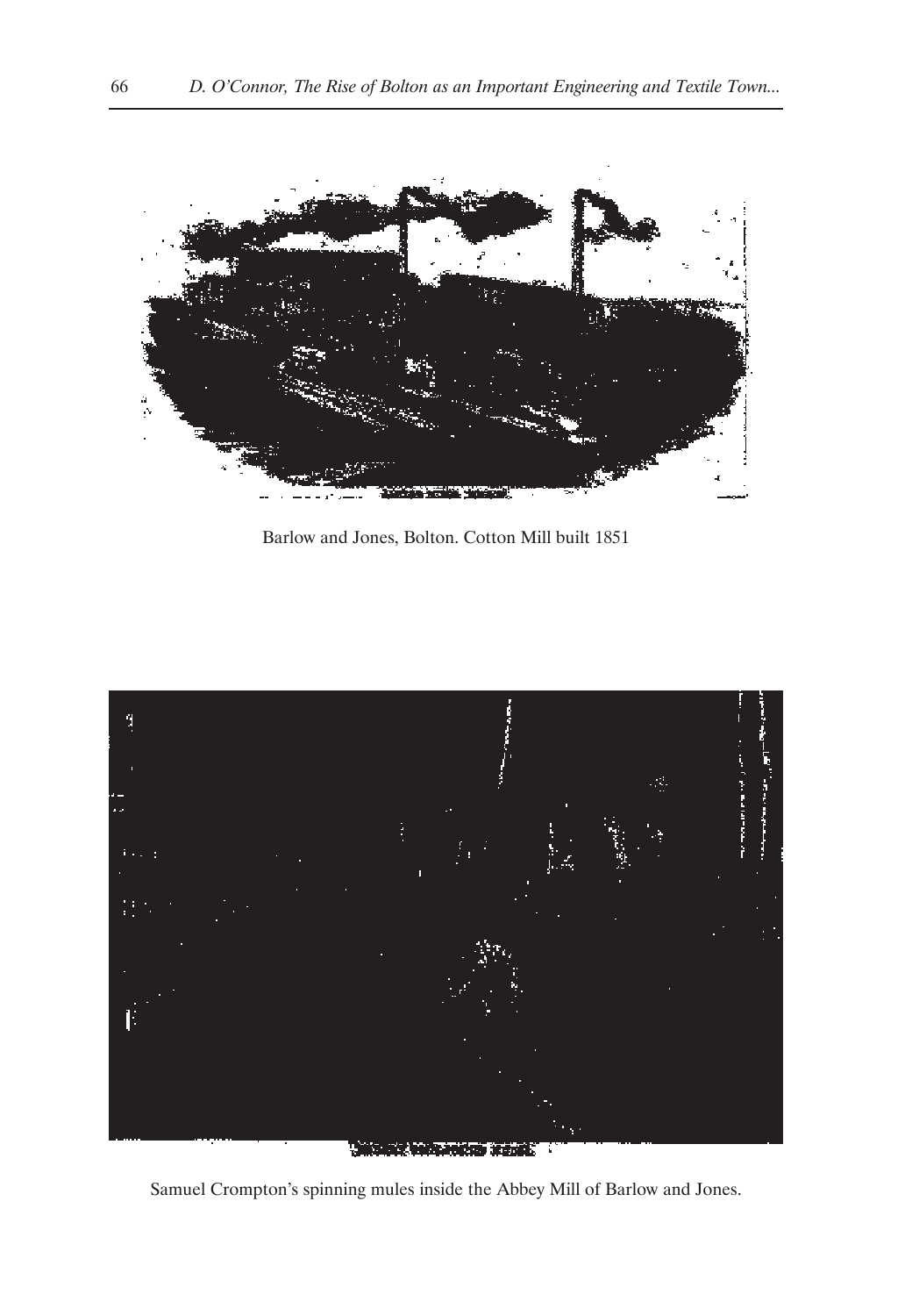

Barlow and Jones, Bolton. Cotton Mill built 1851



**All Council of American States of** 

Samuel Crompton's spinning mules inside the Abbey Mill of Barlow and Jones.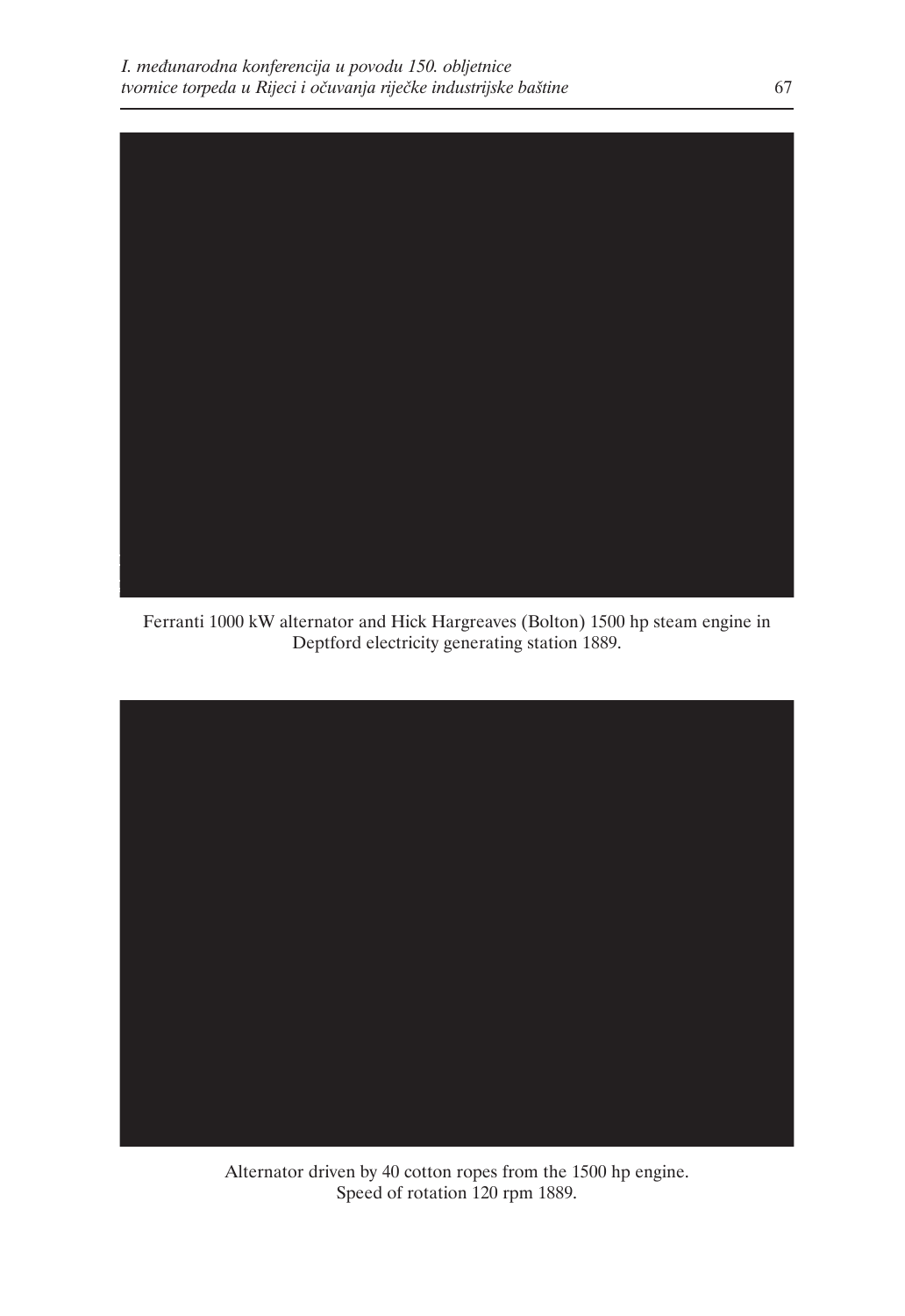

Ferranti 1000 kW alternator and Hick Hargreaves (Bolton) 1500 hp steam engine in Deptford electricity generating station 1889.



Alternator driven by 40 cotton ropes from the 1500 hp engine. Speed of rotation 120 rpm 1889.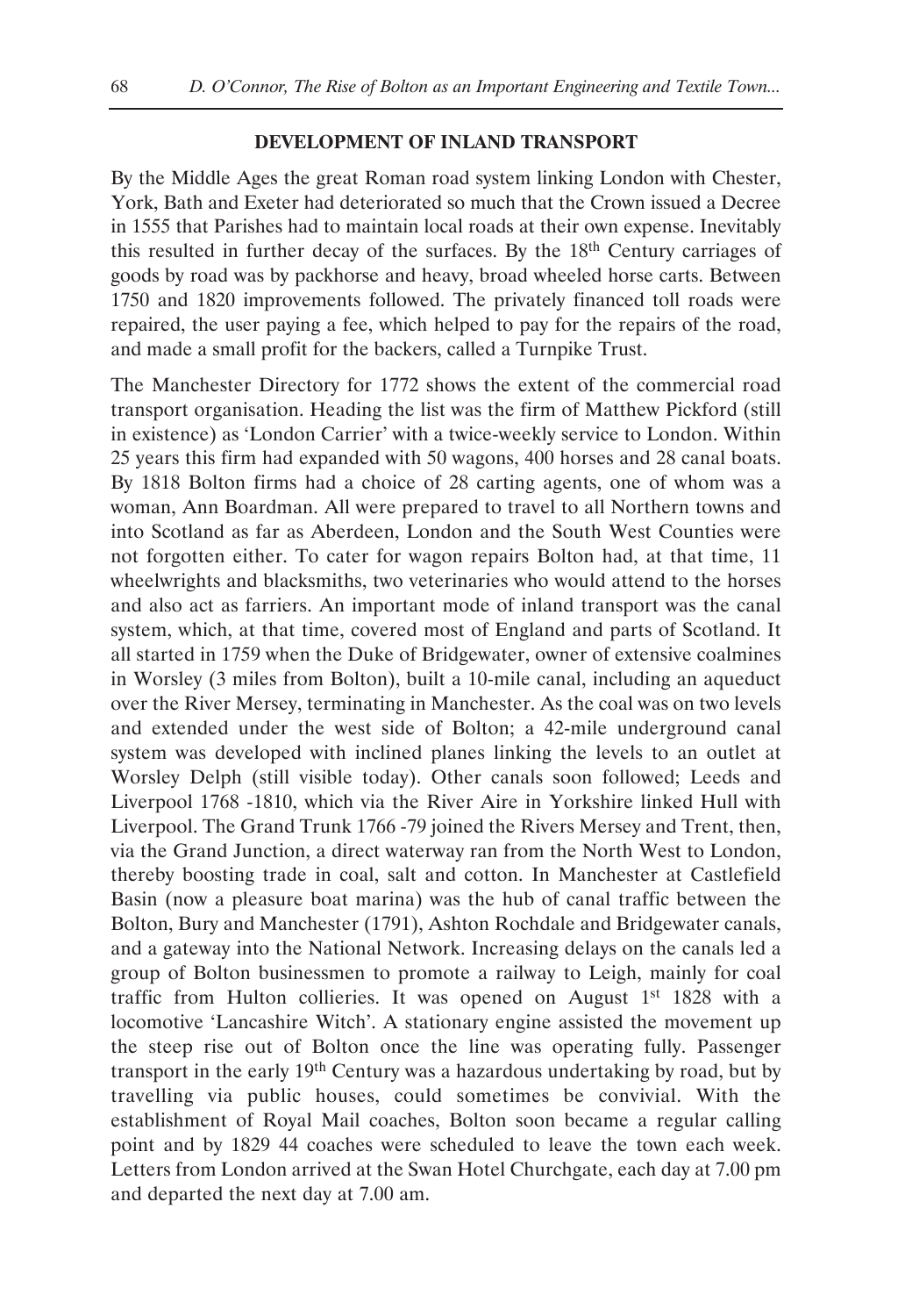## **DEVELOPMENT OF INLAND TRANSPORT**

By the Middle Ages the great Roman road system linking London with Chester, York, Bath and Exeter had deteriorated so much that the Crown issued a Decree in 1555 that Parishes had to maintain local roads at their own expense. Inevitably this resulted in further decay of the surfaces. By the  $18<sup>th</sup>$  Century carriages of goods by road was by packhorse and heavy, broad wheeled horse carts. Between 1750 and 1820 improvements followed. The privately financed toll roads were repaired, the user paying a fee, which helped to pay for the repairs of the road, and made a small profit for the backers, called a Turnpike Trust.

The Manchester Directory for 1772 shows the extent of the commercial road transport organisation. Heading the list was the firm of Matthew Pickford (still in existence) as 'London Carrier' with a twice-weekly service to London. Within 25 years this firm had expanded with 50 wagons, 400 horses and 28 canal boats. By 1818 Bolton firms had a choice of 28 carting agents, one of whom was a woman, Ann Boardman. All were prepared to travel to all Northern towns and into Scotland as far as Aberdeen, London and the South West Counties were not forgotten either. To cater for wagon repairs Bolton had, at that time, 11 wheelwrights and blacksmiths, two veterinaries who would attend to the horses and also act as farriers. An important mode of inland transport was the canal system, which, at that time, covered most of England and parts of Scotland. It all started in 1759 when the Duke of Bridgewater, owner of extensive coalmines in Worsley (3 miles from Bolton), built a 10-mile canal, including an aqueduct over the River Mersey, terminating in Manchester. As the coal was on two levels and extended under the west side of Bolton; a 42-mile underground canal system was developed with inclined planes linking the levels to an outlet at Worsley Delph (still visible today). Other canals soon followed; Leeds and Liverpool 1768 -1810, which via the River Aire in Yorkshire linked Hull with Liverpool. The Grand Trunk 1766 -79 joined the Rivers Mersey and Trent, then, via the Grand Junction, a direct waterway ran from the North West to London, thereby boosting trade in coal, salt and cotton. In Manchester at Castlefield Basin (now a pleasure boat marina) was the hub of canal traffic between the Bolton, Bury and Manchester (1791), Ashton Rochdale and Bridgewater canals, and a gateway into the National Network. Increasing delays on the canals led a group of Bolton businessmen to promote a railway to Leigh, mainly for coal traffic from Hulton collieries. It was opened on August  $1<sup>st</sup> 1828$  with a locomotive 'Lancashire Witch'. A stationary engine assisted the movement up the steep rise out of Bolton once the line was operating fully. Passenger transport in the early 19th Century was a hazardous undertaking by road, but by travelling via public houses, could sometimes be convivial. With the establishment of Royal Mail coaches, Bolton soon became a regular calling point and by 1829 44 coaches were scheduled to leave the town each week. Letters from London arrived at the Swan Hotel Churchgate, each day at 7.00 pm and departed the next day at 7.00 am.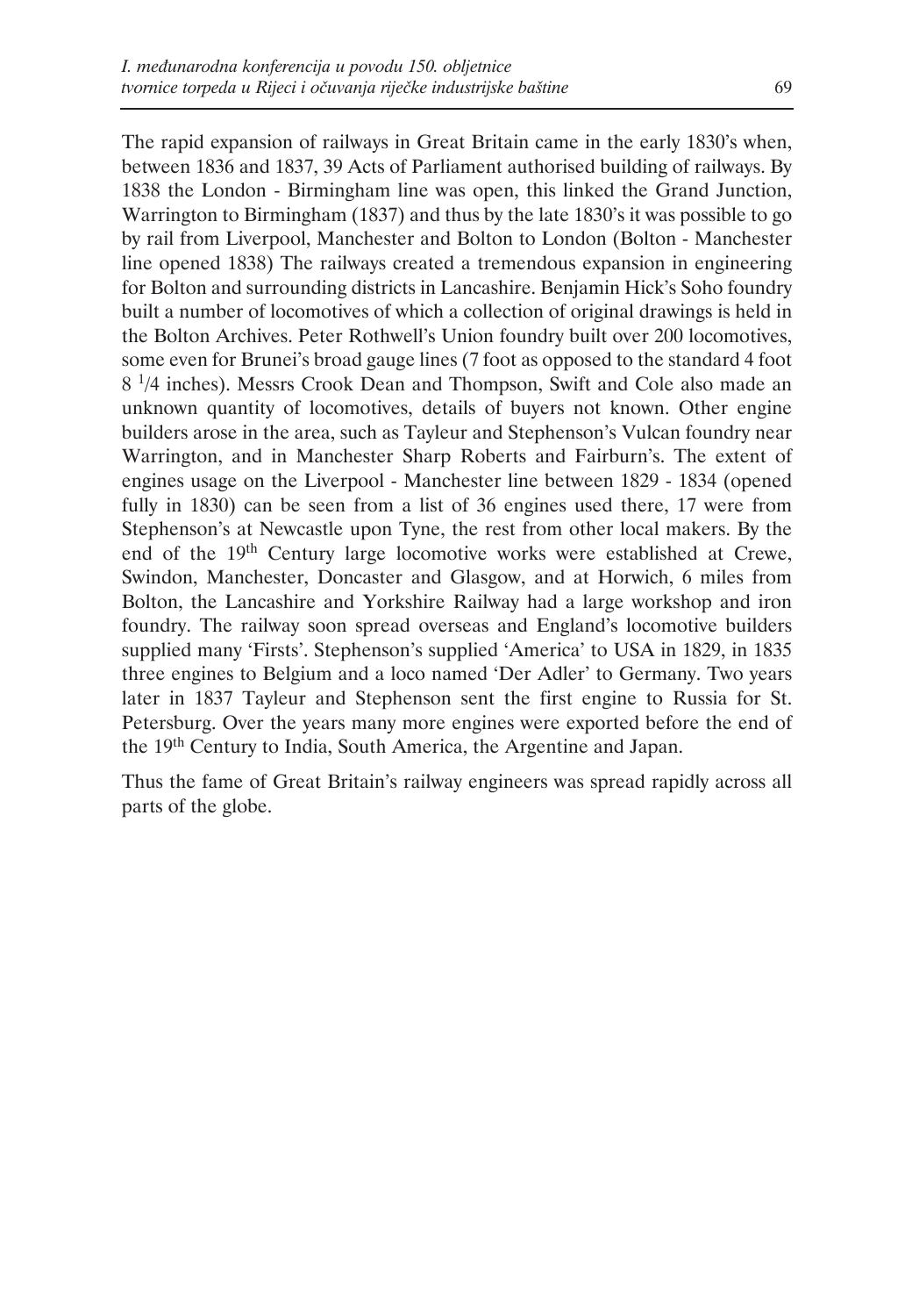The rapid expansion of railways in Great Britain came in the early 1830's when, between 1836 and 1837, 39 Acts of Parliament authorised building of railways. By 1838 the London - Birmingham line was open, this linked the Grand Junction, Warrington to Birmingham (1837) and thus by the late 1830's it was possible to go by rail from Liverpool, Manchester and Bolton to London (Bolton - Manchester line opened 1838) The railways created a tremendous expansion in engineering for Bolton and surrounding districts in Lancashire. Benjamin Hick's Soho foundry built a number of locomotives of which a collection of original drawings is held in the Bolton Archives. Peter Rothwell's Union foundry built over 200 locomotives, some even for Brunei's broad gauge lines (7 foot as opposed to the standard 4 foot 8 1/4 inches). Messrs Crook Dean and Thompson, Swift and Cole also made an unknown quantity of locomotives, details of buyers not known. Other engine builders arose in the area, such as Tayleur and Stephenson's Vulcan foundry near Warrington, and in Manchester Sharp Roberts and Fairburn's. The extent of engines usage on the Liverpool - Manchester line between 1829 - 1834 (opened fully in 1830) can be seen from a list of 36 engines used there, 17 were from Stephenson's at Newcastle upon Tyne, the rest from other local makers. By the end of the 19th Century large locomotive works were established at Crewe, Swindon, Manchester, Doncaster and Glasgow, and at Horwich, 6 miles from Bolton, the Lancashire and Yorkshire Railway had a large workshop and iron foundry. The railway soon spread overseas and England's locomotive builders supplied many 'Firsts'. Stephenson's supplied 'America' to USA in 1829, in 1835 three engines to Belgium and a loco named 'Der Adler' to Germany. Two years later in 1837 Tayleur and Stephenson sent the first engine to Russia for St. Petersburg. Over the years many more engines were exported before the end of the 19th Century to India, South America, the Argentine and Japan.

Thus the fame of Great Britain's railway engineers was spread rapidly across all parts of the globe.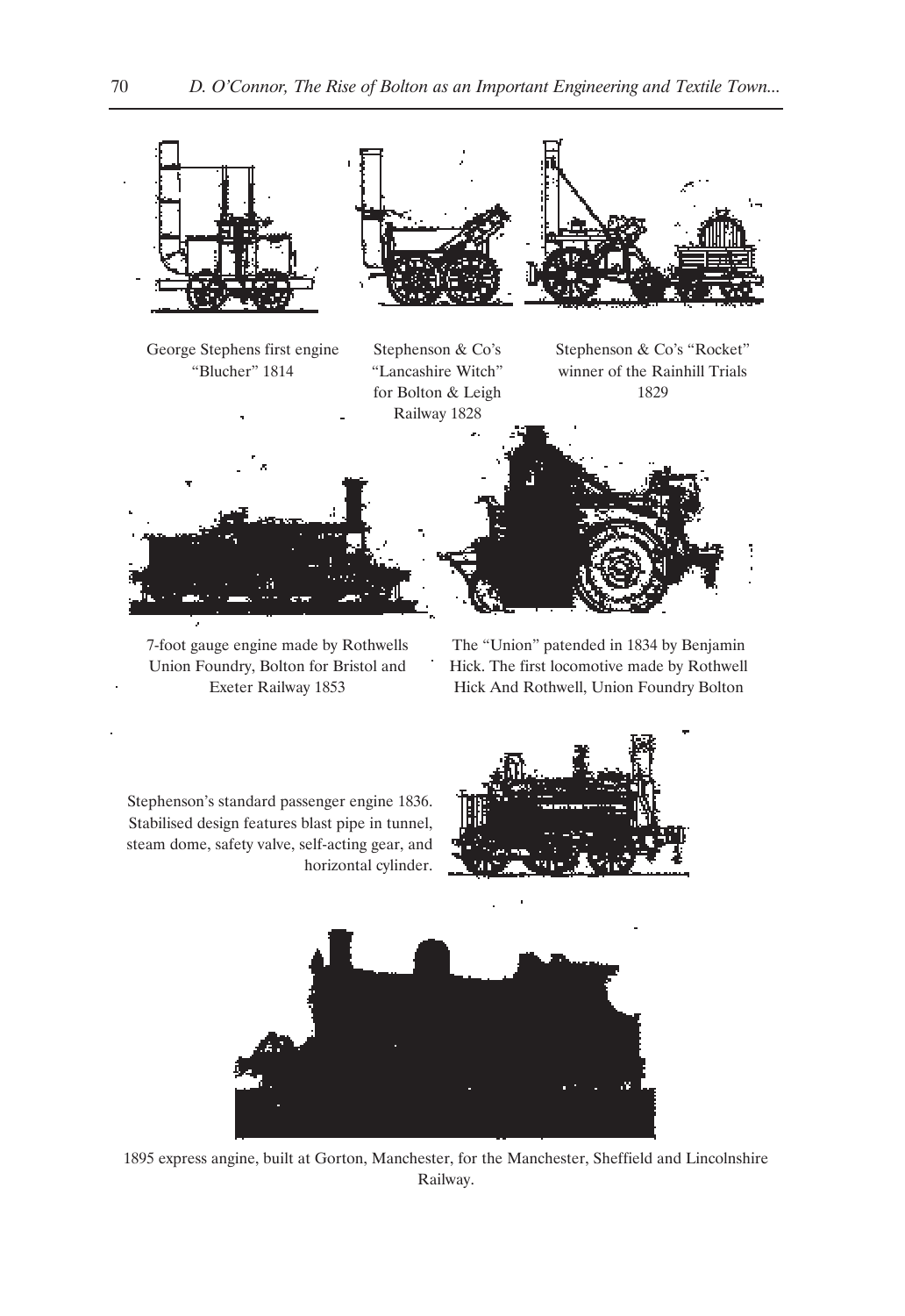

7-foot gauge engine made by Rothwells Union Foundry, Bolton for Bristol and Exeter Railway 1853

The "Union" patended in 1834 by Benjamin Hick. The first locomotive made by Rothwell Hick And Rothwell, Union Foundry Bolton

Stephenson's standard passenger engine 1836. Stabilised design features blast pipe in tunnel, steam dome, safety valve, self-acting gear, and horizontal cylinder.





1895 express angine, built at Gorton, Manchester, for the Manchester, Sheffield and Lincolnshire Railway.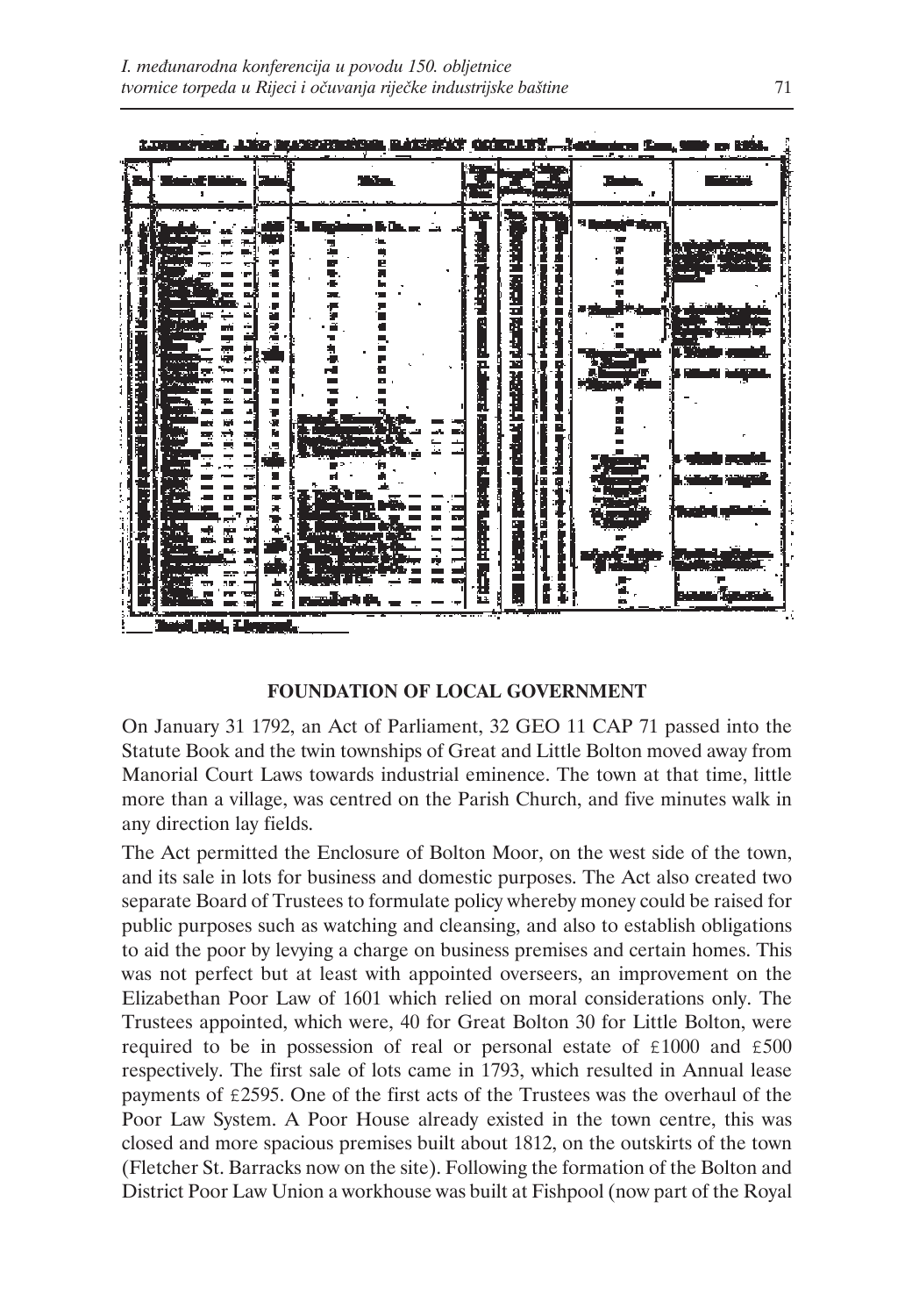

# **FOUNDATION OF LOCAL GOVERNMENT**

On January 31 1792, an Act of Parliament, 32 GEO 11 CAP 71 passed into the Statute Book and the twin townships of Great and Little Bolton moved away from Manorial Court Laws towards industrial eminence. The town at that time, little more than a village, was centred on the Parish Church, and five minutes walk in any direction lay fields.

The Act permitted the Enclosure of Bolton Moor, on the west side of the town, and its sale in lots for business and domestic purposes. The Act also created two separate Board of Trustees to formulate policy whereby money could be raised for public purposes such as watching and cleansing, and also to establish obligations to aid the poor by levying a charge on business premises and certain homes. This was not perfect but at least with appointed overseers, an improvement on the Elizabethan Poor Law of 1601 which relied on moral considerations only. The Trustees appointed, which were, 40 for Great Bolton 30 for Little Bolton, were required to be in possession of real or personal estate of £1000 and £500 respectively. The first sale of lots came in 1793, which resulted in Annual lease payments of £2595. One of the first acts of the Trustees was the overhaul of the Poor Law System. A Poor House already existed in the town centre, this was closed and more spacious premises built about 1812, on the outskirts of the town (Fletcher St. Barracks now on the site). Following the formation of the Bolton and District Poor Law Union a workhouse was built at Fishpool (now part of the Royal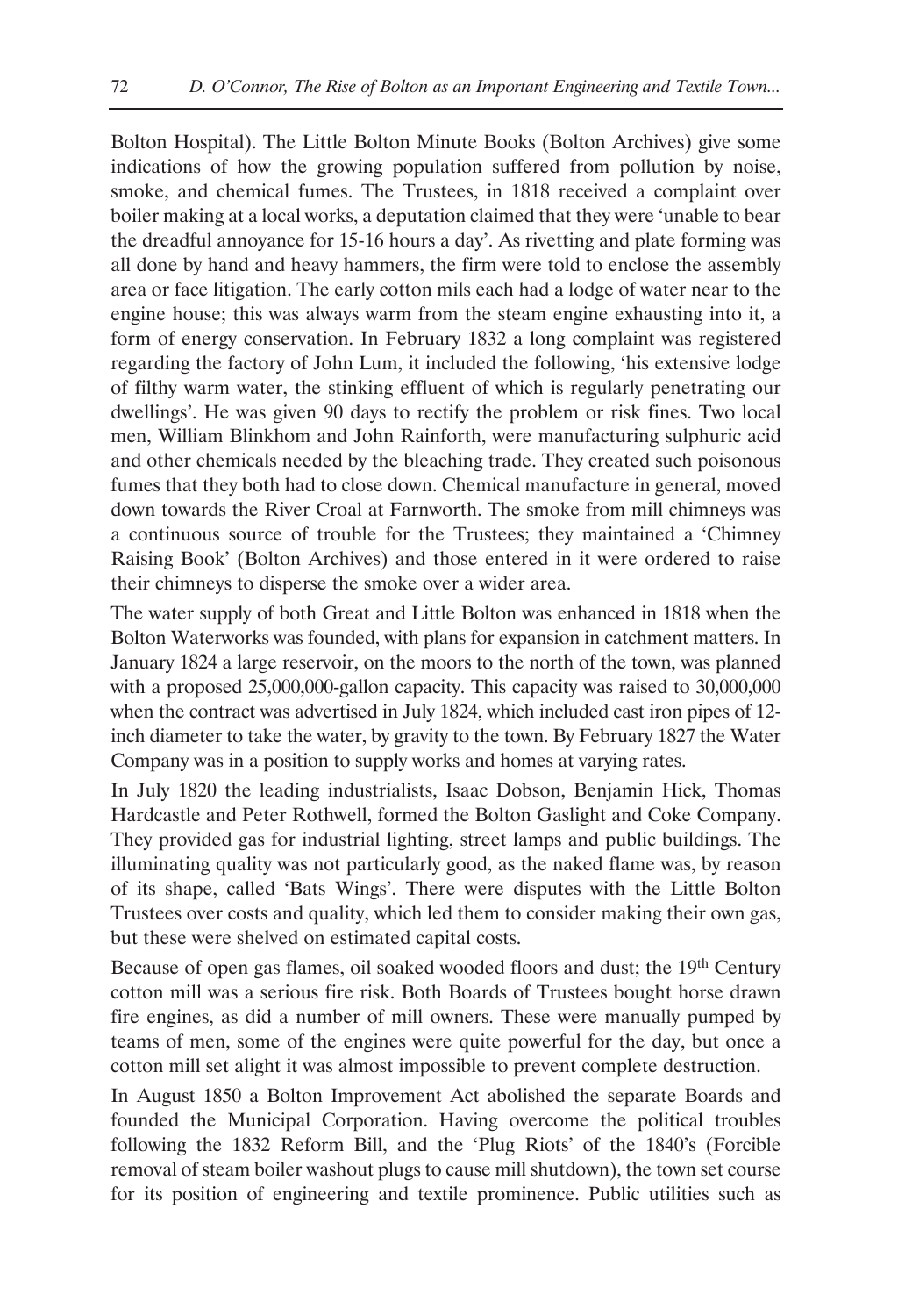Bolton Hospital). The Little Bolton Minute Books (Bolton Archives) give some indications of how the growing population suffered from pollution by noise, smoke, and chemical fumes. The Trustees, in 1818 received a complaint over boiler making at a local works, a deputation claimed that they were 'unable to bear the dreadful annoyance for 15-16 hours a day'. As rivetting and plate forming was all done by hand and heavy hammers, the firm were told to enclose the assembly area or face litigation. The early cotton mils each had a lodge of water near to the engine house; this was always warm from the steam engine exhausting into it, a form of energy conservation. In February 1832 a long complaint was registered regarding the factory of John Lum, it included the following, 'his extensive lodge of filthy warm water, the stinking effluent of which is regularly penetrating our dwellings'. He was given 90 days to rectify the problem or risk fines. Two local men, William Blinkhom and John Rainforth, were manufacturing sulphuric acid and other chemicals needed by the bleaching trade. They created such poisonous fumes that they both had to close down. Chemical manufacture in general, moved down towards the River Croal at Farnworth. The smoke from mill chimneys was a continuous source of trouble for the Trustees; they maintained a 'Chimney Raising Book' (Bolton Archives) and those entered in it were ordered to raise their chimneys to disperse the smoke over a wider area.

The water supply of both Great and Little Bolton was enhanced in 1818 when the Bolton Waterworks was founded, with plans for expansion in catchment matters. In January 1824 a large reservoir, on the moors to the north of the town, was planned with a proposed 25,000,000-gallon capacity. This capacity was raised to 30,000,000 when the contract was advertised in July 1824, which included cast iron pipes of 12 inch diameter to take the water, by gravity to the town. By February 1827 the Water Company was in a position to supply works and homes at varying rates.

In July 1820 the leading industrialists, Isaac Dobson, Benjamin Hick, Thomas Hardcastle and Peter Rothwell, formed the Bolton Gaslight and Coke Company. They provided gas for industrial lighting, street lamps and public buildings. The illuminating quality was not particularly good, as the naked flame was, by reason of its shape, called 'Bats Wings'. There were disputes with the Little Bolton Trustees over costs and quality, which led them to consider making their own gas, but these were shelved on estimated capital costs.

Because of open gas flames, oil soaked wooded floors and dust; the 19<sup>th</sup> Century cotton mill was a serious fire risk. Both Boards of Trustees bought horse drawn fire engines, as did a number of mill owners. These were manually pumped by teams of men, some of the engines were quite powerful for the day, but once a cotton mill set alight it was almost impossible to prevent complete destruction.

In August 1850 a Bolton Improvement Act abolished the separate Boards and founded the Municipal Corporation. Having overcome the political troubles following the 1832 Reform Bill, and the 'Plug Riots' of the 1840's (Forcible removal of steam boiler washout plugs to cause mill shutdown), the town set course for its position of engineering and textile prominence. Public utilities such as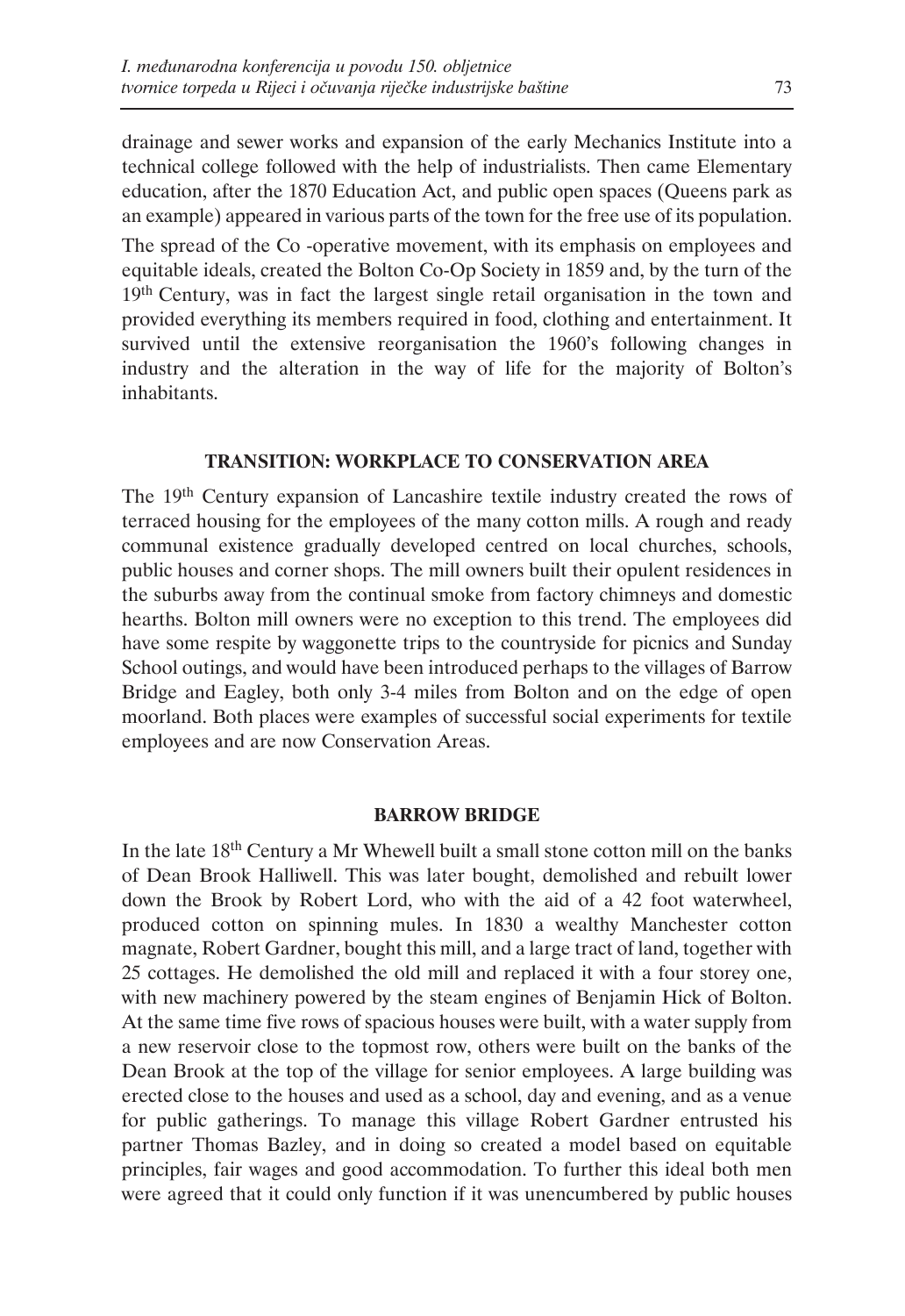drainage and sewer works and expansion of the early Mechanics Institute into a technical college followed with the help of industrialists. Then came Elementary education, after the 1870 Education Act, and public open spaces (Queens park as an example) appeared in various parts of the town for the free use of its population.

The spread of the Co -operative movement, with its emphasis on employees and equitable ideals, created the Bolton Co-Op Society in 1859 and, by the turn of the 19<sup>th</sup> Century, was in fact the largest single retail organisation in the town and provided everything its members required in food, clothing and entertainment. It survived until the extensive reorganisation the 1960's following changes in industry and the alteration in the way of life for the majority of Bolton's inhabitants.

# **TRANSITION: WORKPLACE TO CONSERVATION AREA**

The 19th Century expansion of Lancashire textile industry created the rows of terraced housing for the employees of the many cotton mills. A rough and ready communal existence gradually developed centred on local churches, schools, public houses and corner shops. The mill owners built their opulent residences in the suburbs away from the continual smoke from factory chimneys and domestic hearths. Bolton mill owners were no exception to this trend. The employees did have some respite by waggonette trips to the countryside for picnics and Sunday School outings, and would have been introduced perhaps to the villages of Barrow Bridge and Eagley, both only 3-4 miles from Bolton and on the edge of open moorland. Both places were examples of successful social experiments for textile employees and are now Conservation Areas.

## **BARROW BRIDGE**

In the late 18th Century a Mr Whewell built a small stone cotton mill on the banks of Dean Brook Halliwell. This was later bought, demolished and rebuilt lower down the Brook by Robert Lord, who with the aid of a 42 foot waterwheel, produced cotton on spinning mules. In 1830 a wealthy Manchester cotton magnate, Robert Gardner, bought this mill, and a large tract of land, together with 25 cottages. He demolished the old mill and replaced it with a four storey one, with new machinery powered by the steam engines of Benjamin Hick of Bolton. At the same time five rows of spacious houses were built, with a water supply from a new reservoir close to the topmost row, others were built on the banks of the Dean Brook at the top of the village for senior employees. A large building was erected close to the houses and used as a school, day and evening, and as a venue for public gatherings. To manage this village Robert Gardner entrusted his partner Thomas Bazley, and in doing so created a model based on equitable principles, fair wages and good accommodation. To further this ideal both men were agreed that it could only function if it was unencumbered by public houses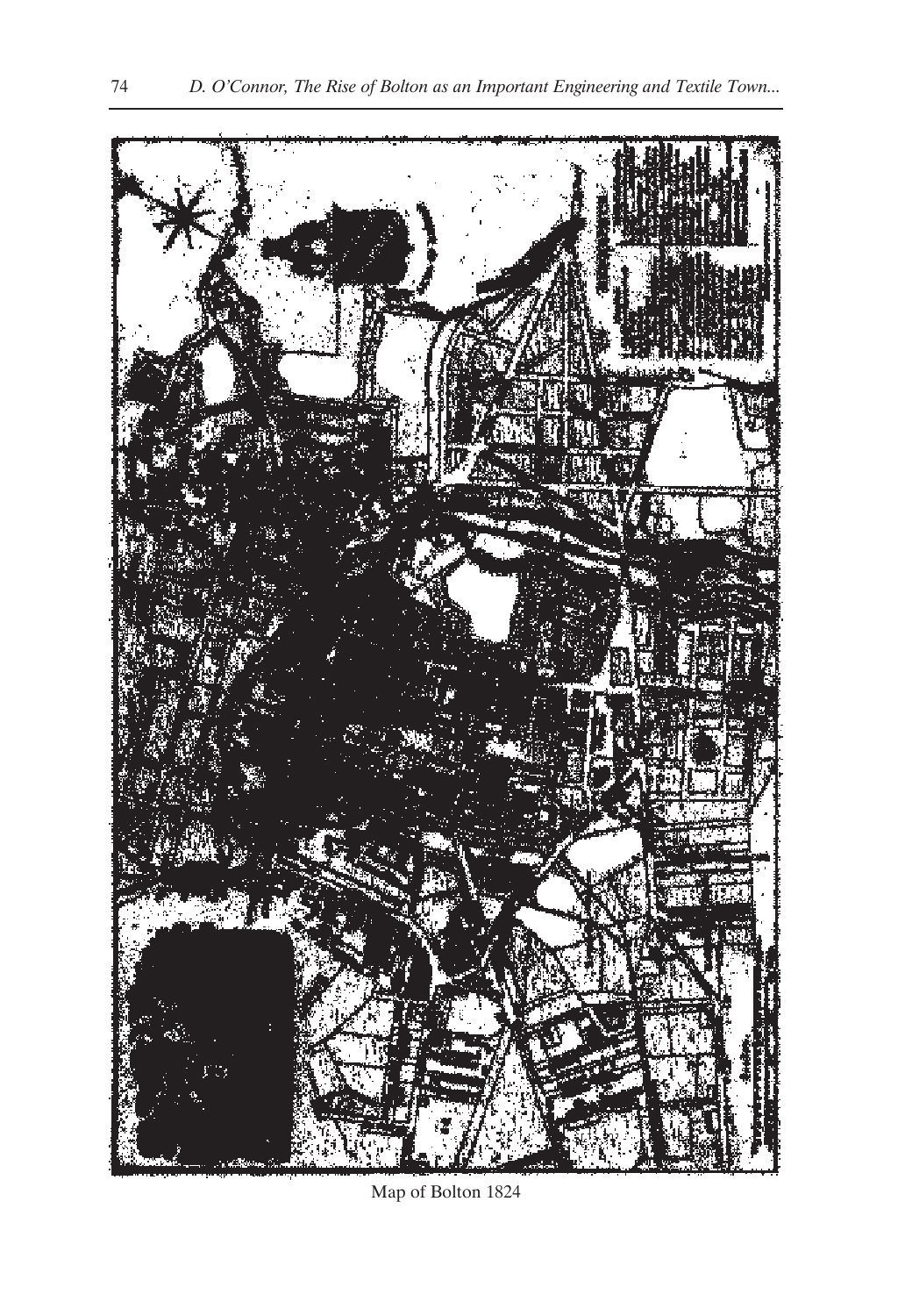

Map of Bolton 1824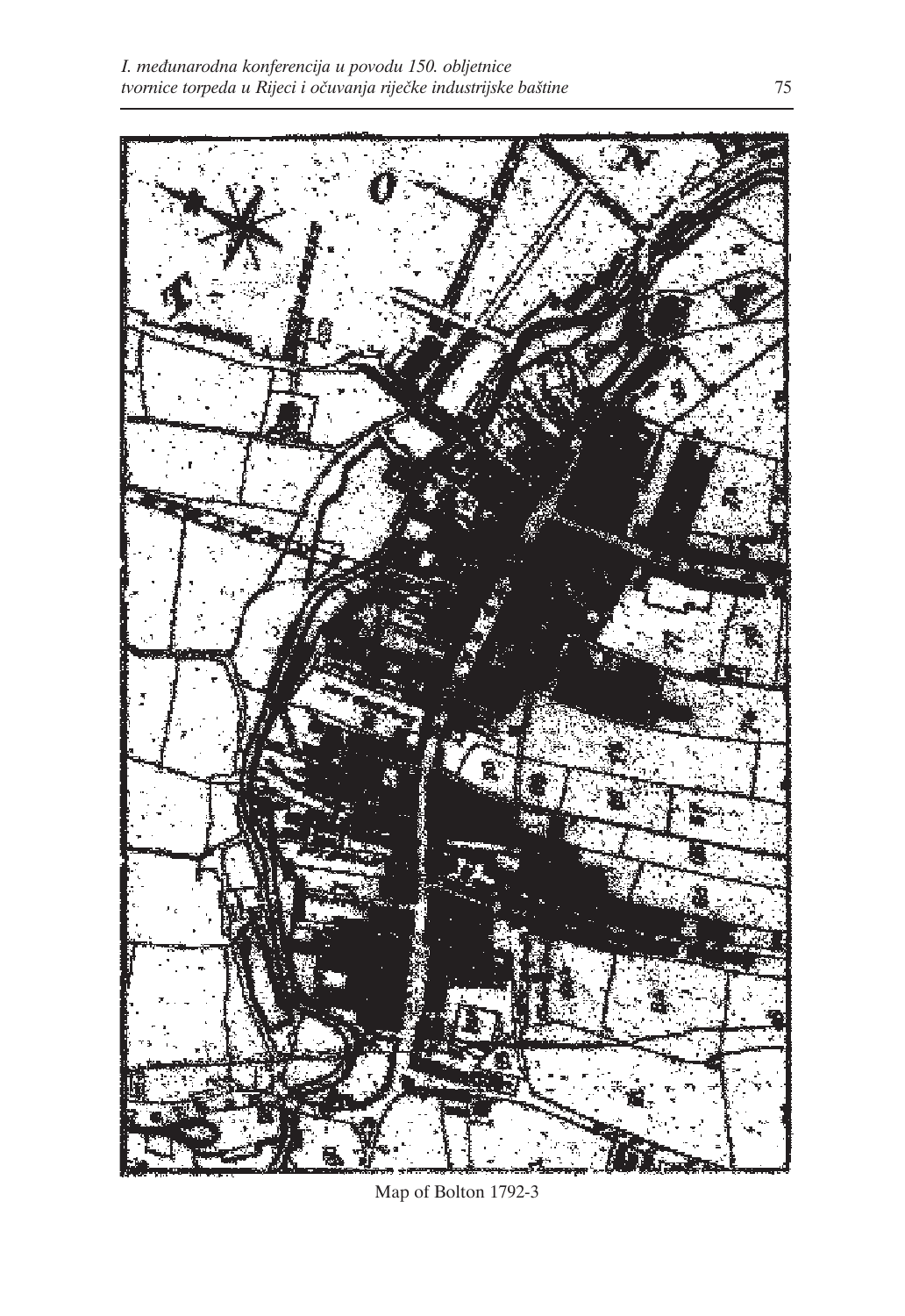

Map of Bolton 1792-3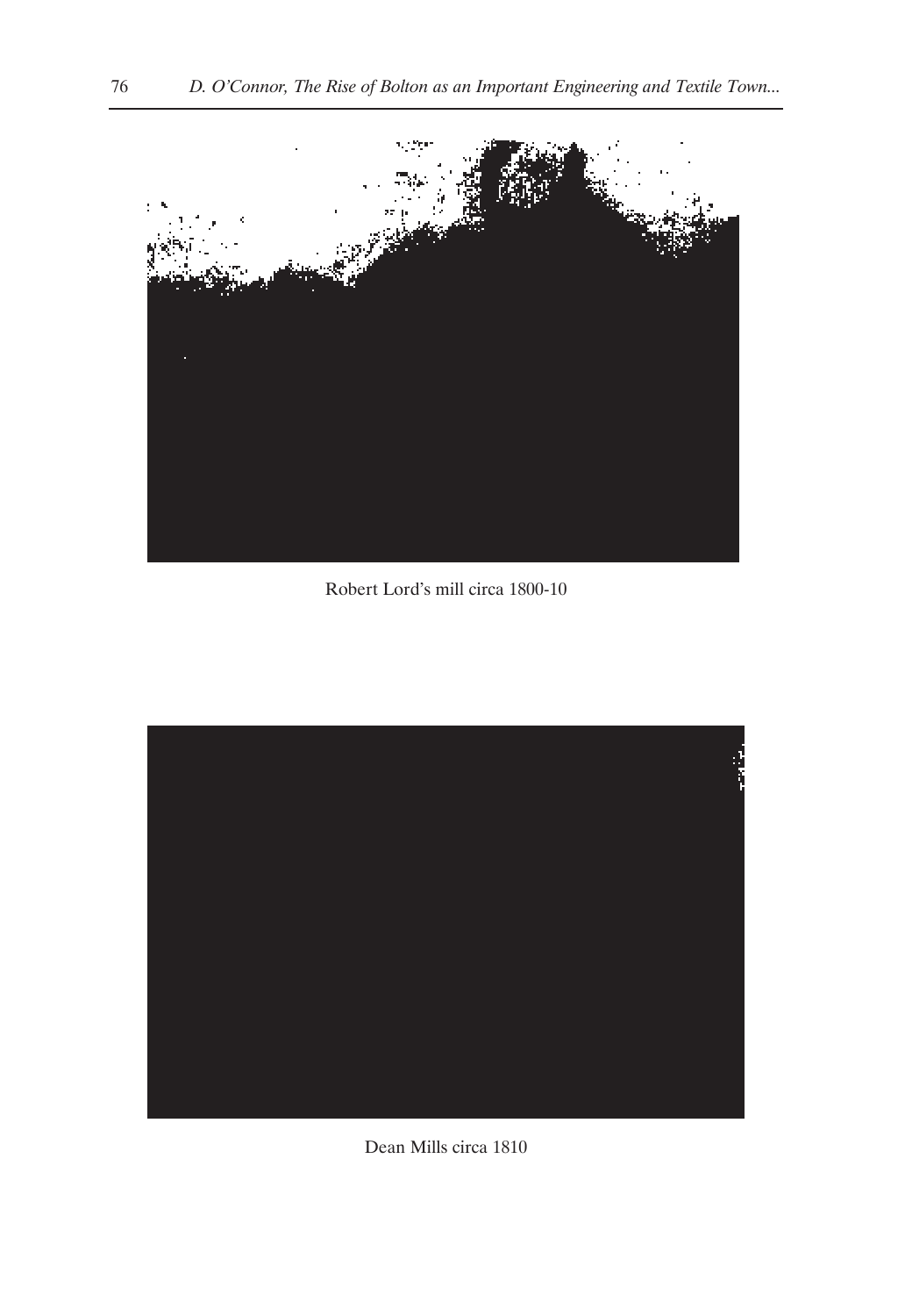

Robert Lord's mill circa 1800-10



Dean Mills circa 1810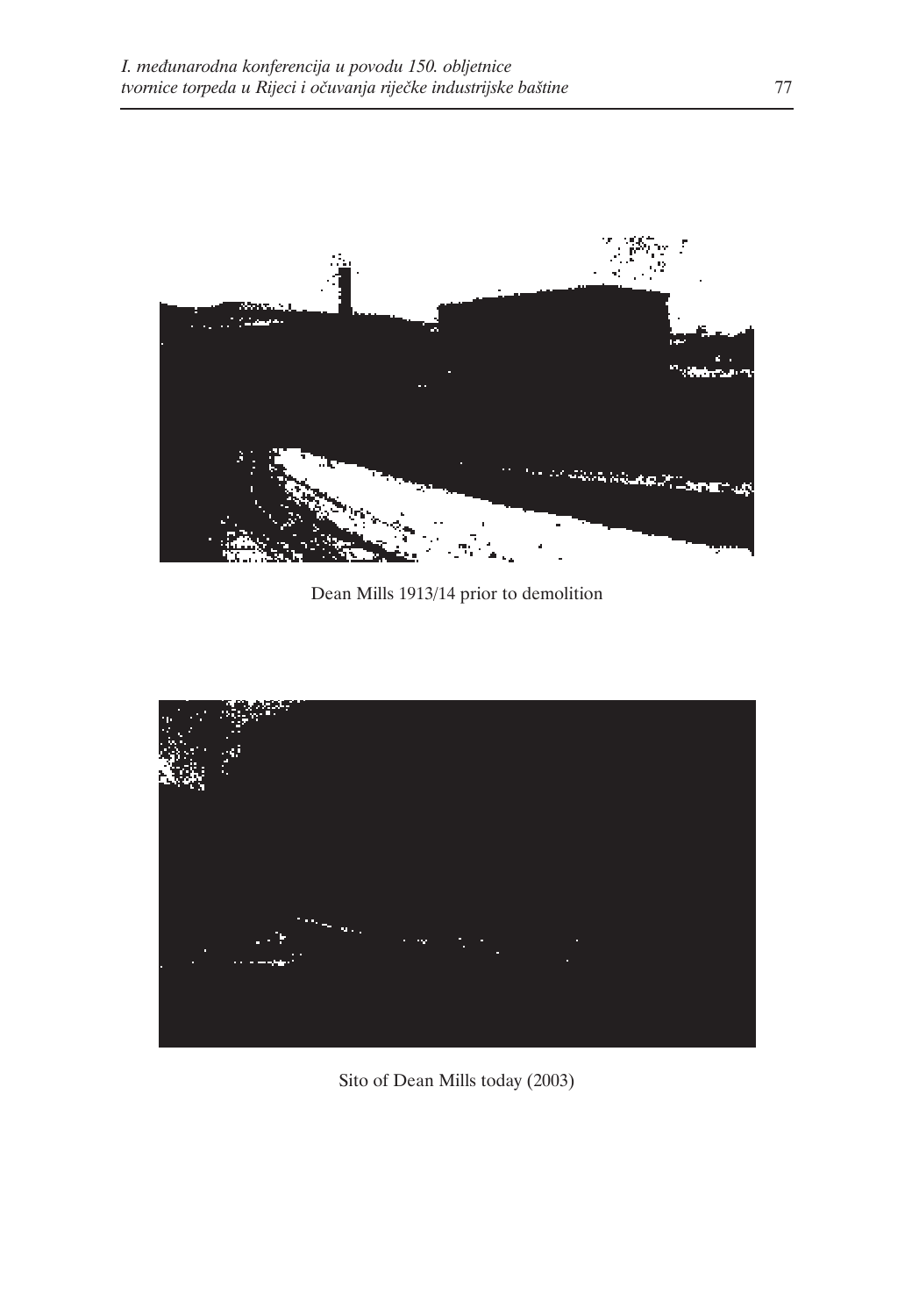

Dean Mills 1913/14 prior to demolition



Sito of Dean Mills today (2003)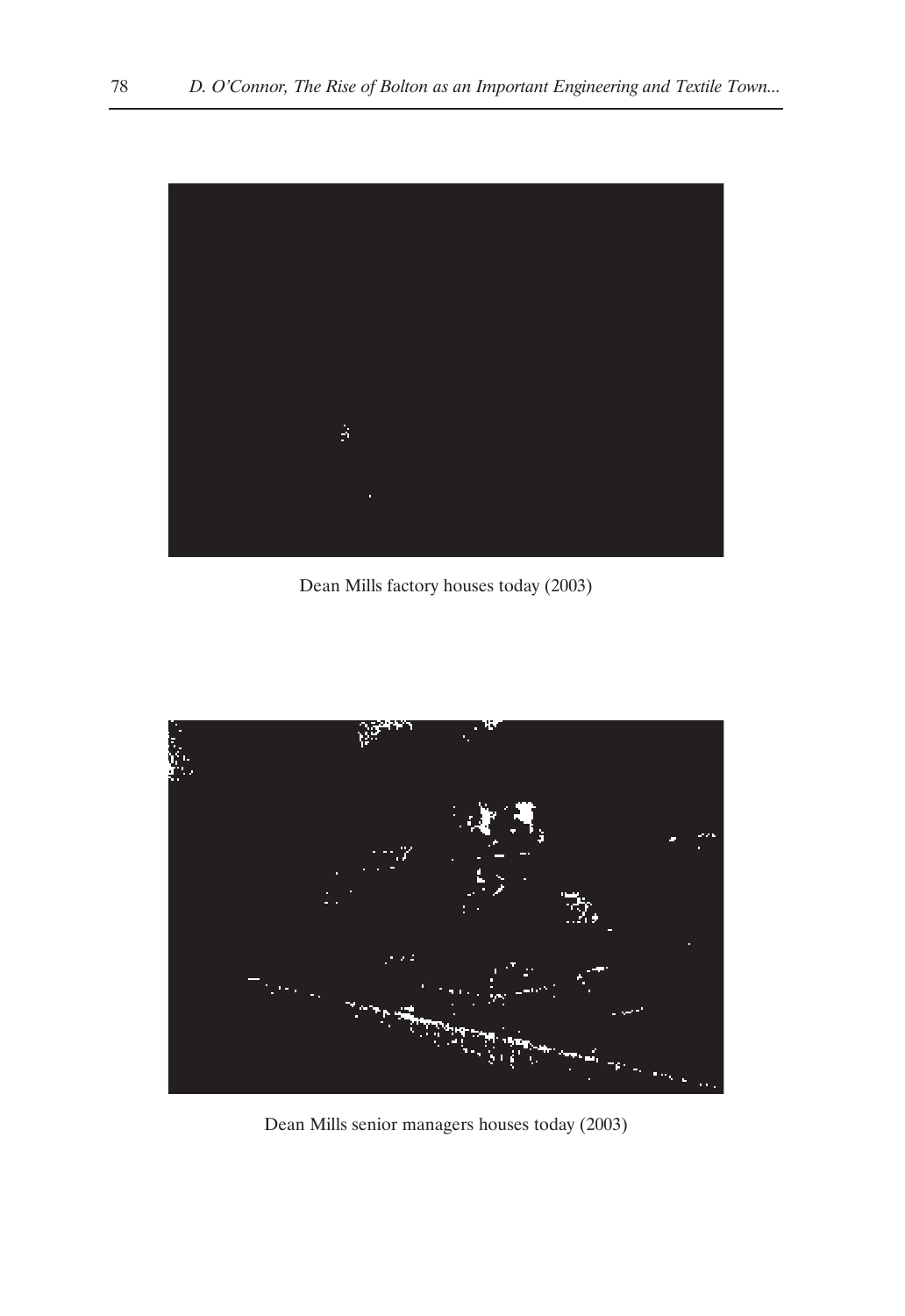

Dean Mills factory houses today (2003)



Dean Mills senior managers houses today (2003)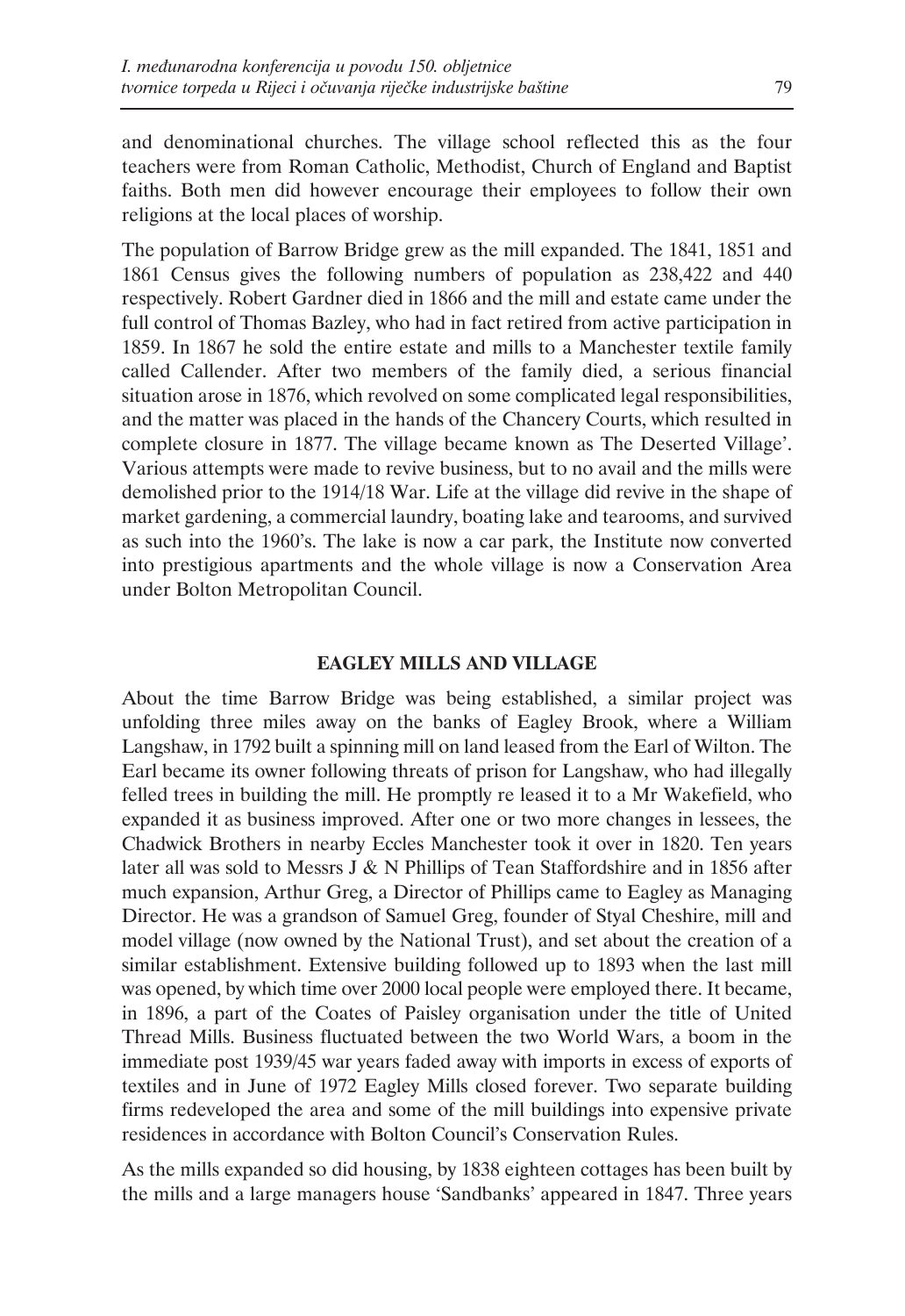and denominational churches. The village school reflected this as the four teachers were from Roman Catholic, Methodist, Church of England and Baptist faiths. Both men did however encourage their employees to follow their own religions at the local places of worship.

The population of Barrow Bridge grew as the mill expanded. The 1841, 1851 and 1861 Census gives the following numbers of population as 238,422 and 440 respectively. Robert Gardner died in 1866 and the mill and estate came under the full control of Thomas Bazley, who had in fact retired from active participation in 1859. In 1867 he sold the entire estate and mills to a Manchester textile family called Callender. After two members of the family died, a serious financial situation arose in 1876, which revolved on some complicated legal responsibilities, and the matter was placed in the hands of the Chancery Courts, which resulted in complete closure in 1877. The village became known as The Deserted Village'. Various attempts were made to revive business, but to no avail and the mills were demolished prior to the 1914/18 War. Life at the village did revive in the shape of market gardening, a commercial laundry, boating lake and tearooms, and survived as such into the 1960's. The lake is now a car park, the Institute now converted into prestigious apartments and the whole village is now a Conservation Area under Bolton Metropolitan Council.

# **EAGLEY MILLS AND VILLAGE**

About the time Barrow Bridge was being established, a similar project was unfolding three miles away on the banks of Eagley Brook, where a William Langshaw, in 1792 built a spinning mill on land leased from the Earl of Wilton. The Earl became its owner following threats of prison for Langshaw, who had illegally felled trees in building the mill. He promptly re leased it to a Mr Wakefield, who expanded it as business improved. After one or two more changes in lessees, the Chadwick Brothers in nearby Eccles Manchester took it over in 1820. Ten years later all was sold to Messrs J & N Phillips of Tean Staffordshire and in 1856 after much expansion, Arthur Greg, a Director of Phillips came to Eagley as Managing Director. He was a grandson of Samuel Greg, founder of Styal Cheshire, mill and model village (now owned by the National Trust), and set about the creation of a similar establishment. Extensive building followed up to 1893 when the last mill was opened, by which time over 2000 local people were employed there. It became, in 1896, a part of the Coates of Paisley organisation under the title of United Thread Mills. Business fluctuated between the two World Wars, a boom in the immediate post 1939/45 war years faded away with imports in excess of exports of textiles and in June of 1972 Eagley Mills closed forever. Two separate building firms redeveloped the area and some of the mill buildings into expensive private residences in accordance with Bolton Council's Conservation Rules.

As the mills expanded so did housing, by 1838 eighteen cottages has been built by the mills and a large managers house 'Sandbanks' appeared in 1847. Three years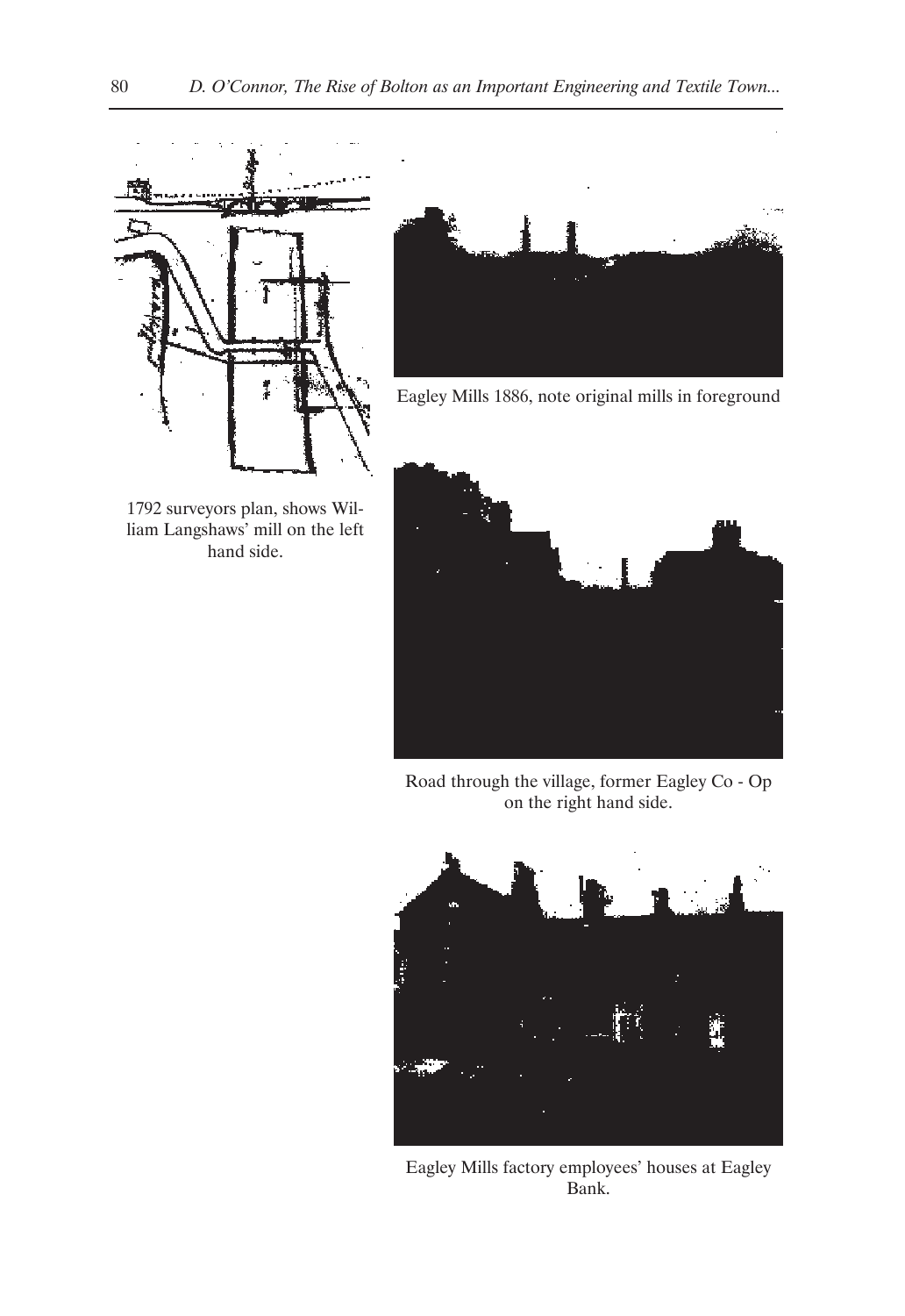

1792 surveyors plan, shows William Langshaws' mill on the left hand side.



Eagley Mills 1886, note original mills in foreground



Road through the village, former Eagley Co - Op on the right hand side.



Eagley Mills factory employees' houses at Eagley Bank.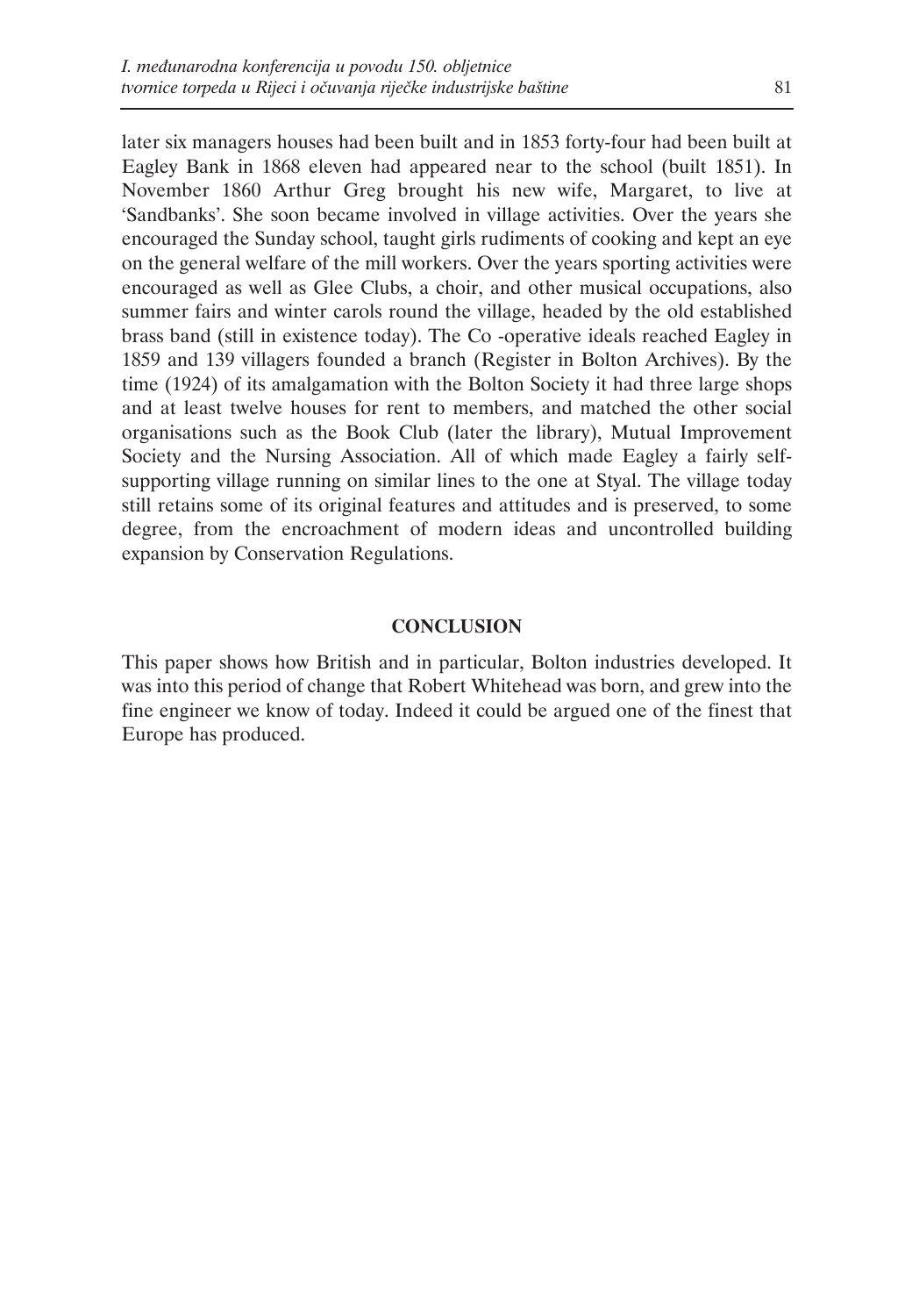later six managers houses had been built and in 1853 forty-four had been built at Eagley Bank in 1868 eleven had appeared near to the school (built 1851). In November 1860 Arthur Greg brought his new wife, Margaret, to live at 'Sandbanks'. She soon became involved in village activities. Over the years she encouraged the Sunday school, taught girls rudiments of cooking and kept an eye on the general welfare of the mill workers. Over the years sporting activities were encouraged as well as Glee Clubs, a choir, and other musical occupations, also summer fairs and winter carols round the village, headed by the old established brass band (still in existence today). The Co -operative ideals reached Eagley in 1859 and 139 villagers founded a branch (Register in Bolton Archives). By the time (1924) of its amalgamation with the Bolton Society it had three large shops and at least twelve houses for rent to members, and matched the other social organisations such as the Book Club (later the library), Mutual Improvement Society and the Nursing Association. All of which made Eagley a fairly selfsupporting village running on similar lines to the one at Styal. The village today still retains some of its original features and attitudes and is preserved, to some degree, from the encroachment of modern ideas and uncontrolled building expansion by Conservation Regulations.

# **CONCLUSION**

This paper shows how British and in particular, Bolton industries developed. It was into this period of change that Robert Whitehead was born, and grew into the fine engineer we know of today. Indeed it could be argued one of the finest that Europe has produced.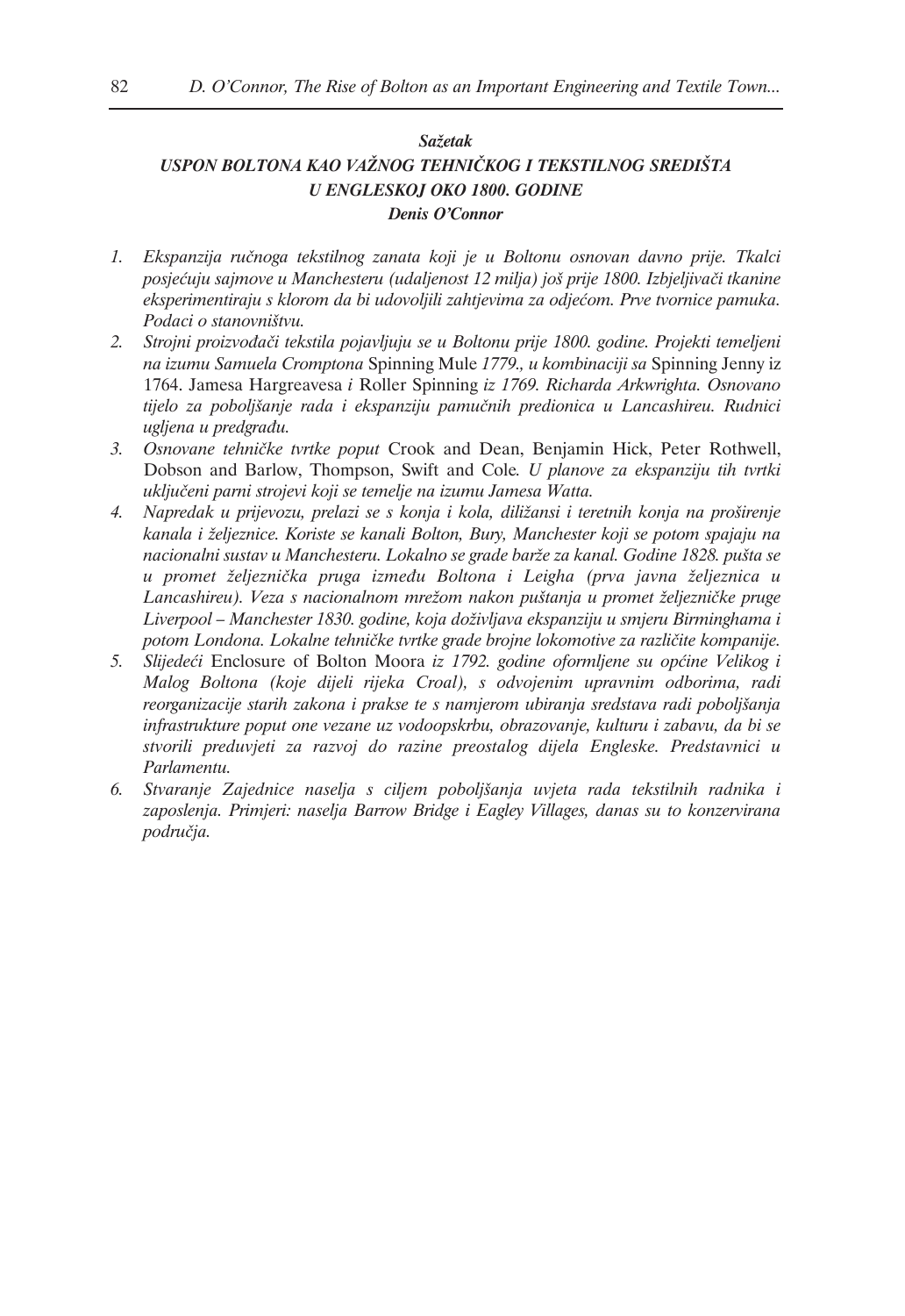# *Sažetak USPON BOLTONA KAO VAŽNOG TEHNIČKOG I TEKSTILNOG SREDIŠTA U ENGLESKOJ OKO 1800. GODINE Denis O'Connor*

- *1. Ekspanzija ručnoga tekstilnog zanata koji je u Boltonu osnovan davno prije. Tkalci posjećuju sajmove u Manchesteru (udaljenost 12 milja) još prije 1800. Izbjeljivači tkanine eksperimentiraju s klorom da bi udovoljili zahtjevima za odjećom. Prve tvornice pamuka. Podaci o stanovništvu.*
- *2. Strojni proizvođači tekstila pojavljuju se u Boltonu prije 1800. godine. Projekti temeljeni na izumu Samuela Cromptona* Spinning Mule *1779., u kombinaciji sa* Spinning Jenny iz 1764. Jamesa Hargreavesa *i* Roller Spinning *iz 1769. Richarda Arkwrighta. Osnovano tijelo za poboljšanje rada i ekspanziju pamučnih predionica u Lancashireu. Rudnici ugljena u predgrađu.*
- *3. Osnovane tehničke tvrtke poput* Crook and Dean, Benjamin Hick, Peter Rothwell, Dobson and Barlow, Thompson, Swift and Cole*. U planove za ekspanziju tih tvrtki uključeni parni strojevi koji se temelje na izumu Jamesa Watta.*
- *4. Napredak u prijevozu, prelazi se s konja i kola, diližansi i teretnih konja na proširenje kanala i željeznice. Koriste se kanali Bolton, Bury, Manchester koji se potom spajaju na nacionalni sustav u Manchesteru. Lokalno se grade barže za kanal. Godine 1828. pušta se u promet željeznička pruga između Boltona i Leigha (prva javna željeznica u Lancashireu). Veza s nacionalnom mrežom nakon puštanja u promet željezničke pruge Liverpool – Manchester 1830. godine, koja doživljava ekspanziju u smjeru Birminghama i potom Londona. Lokalne tehničke tvrtke grade brojne lokomotive za različite kompanije.*
- *5. Slijedeći* Enclosure of Bolton Moora *iz 1792. godine oformljene su općine Velikog i Malog Boltona (koje dijeli rijeka Croal), s odvojenim upravnim odborima, radi reorganizacije starih zakona i prakse te s namjerom ubiranja sredstava radi poboljšanja infrastrukture poput one vezane uz vodoopskrbu, obrazovanje, kulturu i zabavu, da bi se stvorili preduvjeti za razvoj do razine preostalog dijela Engleske. Predstavnici u Parlamentu.*
- *6. Stvaranje Zajednice naselja s ciljem poboljšanja uvjeta rada tekstilnih radnika i zaposlenja. Primjeri: naselja Barrow Bridge i Eagley Villages, danas su to konzervirana područja.*